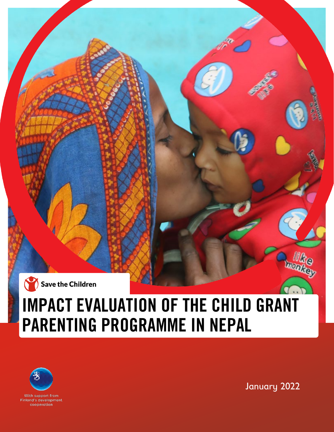

# IMPACT EVALUATION OF THE CHILD GRANT PARENTING PROGRAMME IN NEPAL



January 2022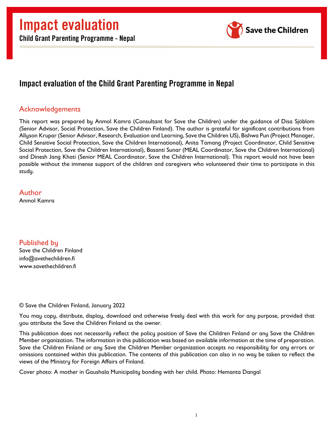

## Impact evaluation of the Child Grant Parenting Programme in Nepal

### <span id="page-1-0"></span>Acknowledgements

This report was prepared by Anmol Kamra (Consultant for Save the Children) under the guidance of Disa Sjöblom (Senior Advisor, Social Protection, Save the Children Finland). The author is grateful for significant contributions from Allyson Krupar (Senior Advisor, Research, Evaluation and Learning, Save the Children US), Bishwa Pun (Project Manager, Child Sensitive Social Protection, Save the Children International), Anita Tamang (Project Coordinator, Child Sensitive Social Protection, Save the Children International), Basanti Sunar (MEAL Coordinator, Save the Children International) and Dinesh Jang Khati (Senior MEAL Coordinator, Save the Children International). This report would not have been possible without the immense support of the children and caregivers who volunteered their time to participate in this study.

Author Anmol Kamra

Published by Save the Children Finland info@avethechildren.fi www.savethechildren.fi

© Save the Children Finland, January 2022

You may copy, distribute, display, download and otherwise freely deal with this work for any purpose, provided that you attribute the Save the Children Finland as the owner.

This publication does not necessarily reflect the policy position of Save the Children Finland or any Save the Children Member organization. The information in this publication was based on available information at the time of preparation. Save the Children Finland or any Save the Children Member organization accepts no responsibility for any errors or omissions contained within this publication. The contents of this publication can also in no way be taken to reflect the views of the Ministry for Foreign Affairs of Finland.

Cover photo: A mother in Gaushala Municipality bonding with her child. Photo: Hemanta Dangal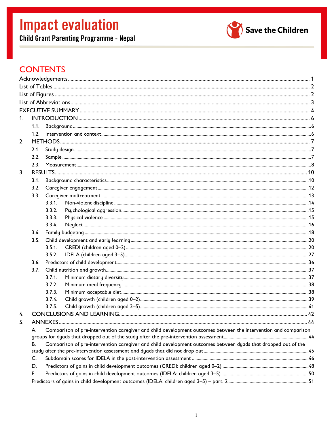**Child Grant Parenting Programme - Nepal** 



## **CONTENTS**

| 1.               |      |                                                                                                                       |                                                                                                               |  |  |  |
|------------------|------|-----------------------------------------------------------------------------------------------------------------------|---------------------------------------------------------------------------------------------------------------|--|--|--|
|                  | 1.1. |                                                                                                                       |                                                                                                               |  |  |  |
|                  |      |                                                                                                                       |                                                                                                               |  |  |  |
| 2.               |      |                                                                                                                       |                                                                                                               |  |  |  |
|                  | 2.1. |                                                                                                                       |                                                                                                               |  |  |  |
|                  | 2.2. |                                                                                                                       |                                                                                                               |  |  |  |
|                  | 2.3. |                                                                                                                       |                                                                                                               |  |  |  |
| 3 <sub>1</sub>   |      |                                                                                                                       |                                                                                                               |  |  |  |
|                  | 3.1. |                                                                                                                       |                                                                                                               |  |  |  |
|                  | 3.2. |                                                                                                                       |                                                                                                               |  |  |  |
|                  | 3.3. |                                                                                                                       |                                                                                                               |  |  |  |
|                  |      | 3.3.1.                                                                                                                |                                                                                                               |  |  |  |
|                  |      | 3.3.2.                                                                                                                |                                                                                                               |  |  |  |
|                  |      | 3.3.3.                                                                                                                |                                                                                                               |  |  |  |
|                  |      | 3.3.4.                                                                                                                |                                                                                                               |  |  |  |
|                  |      |                                                                                                                       |                                                                                                               |  |  |  |
|                  | 3.5. |                                                                                                                       |                                                                                                               |  |  |  |
|                  |      | 3.5.1.                                                                                                                |                                                                                                               |  |  |  |
|                  |      | 3.5.2.                                                                                                                |                                                                                                               |  |  |  |
|                  | 3.6. |                                                                                                                       |                                                                                                               |  |  |  |
|                  | 3.7. |                                                                                                                       |                                                                                                               |  |  |  |
|                  |      | 3.7.1.                                                                                                                |                                                                                                               |  |  |  |
|                  |      | 3.7.2.                                                                                                                |                                                                                                               |  |  |  |
|                  |      | 3.7.3.                                                                                                                |                                                                                                               |  |  |  |
|                  |      | 3.7.4.                                                                                                                |                                                                                                               |  |  |  |
|                  |      | 3.7.5.                                                                                                                |                                                                                                               |  |  |  |
| $\overline{4}$ . |      |                                                                                                                       |                                                                                                               |  |  |  |
| 5.               |      |                                                                                                                       |                                                                                                               |  |  |  |
|                  |      | Comparison of pre-intervention caregiver and child development outcomes between the intervention and comparison<br>А. |                                                                                                               |  |  |  |
|                  |      |                                                                                                                       |                                                                                                               |  |  |  |
|                  | В.   |                                                                                                                       | Comparison of pre-intervention caregiver and child development outcomes between dyads that dropped out of the |  |  |  |
|                  | C.   |                                                                                                                       |                                                                                                               |  |  |  |
|                  | D.   |                                                                                                                       |                                                                                                               |  |  |  |
|                  | Е.   |                                                                                                                       |                                                                                                               |  |  |  |
|                  |      |                                                                                                                       |                                                                                                               |  |  |  |
|                  |      |                                                                                                                       |                                                                                                               |  |  |  |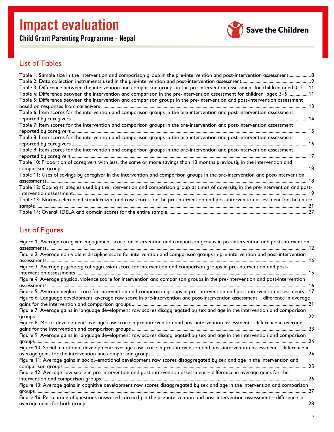Child Grant Parenting Programme - Nepal



## <span id="page-3-0"></span>List of Tables

| Table 1: Sample size in the intervention and comparison group in the pre-intervention and post-intervention assessment 8          |    |
|-----------------------------------------------------------------------------------------------------------------------------------|----|
|                                                                                                                                   |    |
| Table 3: Difference between the intervention and comparison groups in the pre-intervention assessment for children aged 0–2 11    |    |
| Table 4: Difference between the intervention and comparison in the pre-intervention assessment for children aged 3–511            |    |
| Table 5: Difference between the intervention and comparison groups in the pre-intervention and post-intervention assessment       |    |
|                                                                                                                                   |    |
|                                                                                                                                   |    |
|                                                                                                                                   |    |
| Table 7: Item scores for the intervention and comparison groups in the pre-intervention and post-intervention assessment          |    |
|                                                                                                                                   | 15 |
| Table 8: Item scores for the intervention and comparison groups in the pre-intervention and post-intervention assessment          |    |
| ………16                                                                                                                             |    |
| Table 9: Item scores for the intervention and comparison groups in the pre-intervention and post-intervention assessment          |    |
|                                                                                                                                   |    |
|                                                                                                                                   |    |
|                                                                                                                                   |    |
| Table 11: Uses of savings by caregiver in the intervention and comparison groups in the pre-intervention and post-intervention    |    |
|                                                                                                                                   | 18 |
| Table 12: Coping strategies used by the intervention and comparison group at times of adversity in the pre-intervention and post- |    |
|                                                                                                                                   |    |
| Table 13: Norms-referenced standardized and raw scores for the pre-intervention and post-intervention assessment for the entire   |    |
|                                                                                                                                   |    |
|                                                                                                                                   |    |

## <span id="page-3-1"></span>List of Figures

| Figure 1: Average caregiver engagement score for intervention and comparison groups in pre-intervention and post-intervention<br>assessments                                                                                                                              |  |
|---------------------------------------------------------------------------------------------------------------------------------------------------------------------------------------------------------------------------------------------------------------------------|--|
| Figure 2: Average non-violent discipline score for intervention and comparison groups in pre-intervention and post-intervention<br>14                                                                                                                                     |  |
| Figure 3: Average psychological aggression score for intervention and comparison groups in pre-intervention and post-                                                                                                                                                     |  |
| Figure 4: Average physical violence score for intervention and comparison groups in the pre-intervention and post-intervention<br>….16<br>assessments                                                                                                                     |  |
| Figure 5: Average neglect score for intervention and comparison groups in pre-intervention and post-intervention assessments  17<br>Figure 6: Language development: average raw score in pre-intervention and post-intervention assessment – difference in average<br>…21 |  |
| Figure 7: Average gains in language development raw scores disaggregated by sex and age in the intervention and comparison<br>.22                                                                                                                                         |  |
| Figure 8: Motor development: average raw score in pre-intervention and post-intervention assessment - difference in average<br>23                                                                                                                                         |  |
| Figure 9: Average gains in language development raw scores disaggregated by sex and age in the intervention and comparison<br>. 24                                                                                                                                        |  |
| Figure 10: Social-emotional development: average raw score in pre-intervention and post-intervention assessment - difference in                                                                                                                                           |  |
| Figure 11: Average gains in social–emotional development raw scores disaggregated by sex and age in the intervention and<br>.25                                                                                                                                           |  |
| Figure 12: Average raw score in pre-intervention and post-intervention assessment - difference in average gains for the<br>26                                                                                                                                             |  |
| Figure 13: Average gains in cognitive development raw scores disaggregated by sex and age in the intervention and comparison<br>77                                                                                                                                        |  |
| Figure 14: Percentage of questions answered correctly in the pre-intervention and post-intervention assessment - difference in<br>.28                                                                                                                                     |  |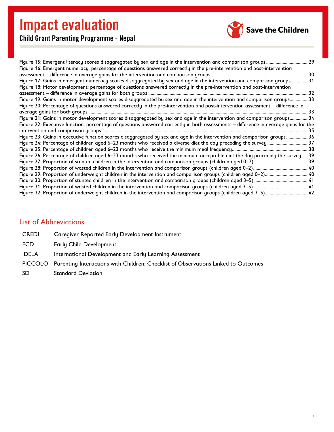

Child Grant Parenting Programme - Nepal

| Figure 16: Emergent numeracy: percentage of questions answered correctly in the pre-intervention and post-intervention              |
|-------------------------------------------------------------------------------------------------------------------------------------|
|                                                                                                                                     |
| Figure 17: Gains in emergent numeracy scores disaggregated by sex and age in the intervention and comparison groups31               |
| Figure 18: Motor development: percentage of questions answered correctly in the pre-intervention and post-intervention              |
|                                                                                                                                     |
| Figure 19: Gains in motor development scores disaggregated by sex and age in the intervention and comparison groups33               |
| Figure 20: Percentage of questions answered correctly in the pre-intervention and post-intervention assessment - difference in      |
|                                                                                                                                     |
| Figure 21: Gains in motor development scores disaggregated by sex and age in the intervention and comparison groups34               |
| Figure 22: Executive function: percentage of questions answered correctly in both assessments - difference in average gains for the |
|                                                                                                                                     |
|                                                                                                                                     |
| Figure 23: Gains in executive function scores disaggregated by sex and age in the intervention and comparison groups36              |
|                                                                                                                                     |
|                                                                                                                                     |
|                                                                                                                                     |
| Figure 26: Percentage of children aged 6-23 months who received the minimum acceptable diet the day preceding the survey39          |
|                                                                                                                                     |
|                                                                                                                                     |
|                                                                                                                                     |
|                                                                                                                                     |
|                                                                                                                                     |

## <span id="page-4-0"></span>List of Abbreviations

| <b>CREDI</b> | Caregiver Reported Early Development Instrument                                            |
|--------------|--------------------------------------------------------------------------------------------|
| <b>ECD</b>   | Early Child Development                                                                    |
| <b>IDELA</b> | International Development and Early Learning Assessment                                    |
|              | PICCOLO Parenting Interactions with Children: Checklist of Observations Linked to Outcomes |
| <b>SD</b>    | <b>Standard Deviation</b>                                                                  |
|              |                                                                                            |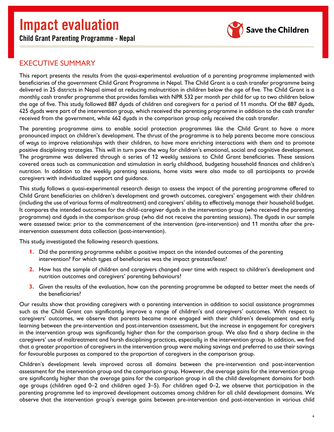Child Grant Parenting Programme - Nepal



## <span id="page-5-0"></span>EXECUTIVE SUMMARY

This report presents the results from the quasi-experimental evaluation of a parenting programme implemented with beneficiaries of the government Child Grant Programme in Nepal. The Child Grant is a cash transfer programme being delivered in 25 districts in Nepal aimed at reducing malnutrition in children below the age of five. The Child Grant is a monthly cash transfer programme that provides families with NPR 532 per month per child for up to two children below the age of five. This study followed 887 dyads of children and caregivers for a period of 11 months. Of the 887 dyads, 425 dyads were part of the intervention group, which received the parenting programme in addition to the cash transfer received from the government, while 462 dyads in the comparison group only received the cash transfer.

The parenting programme aims to enable social protection programmes like the Child Grant to have a more pronounced impact on children's development. The thrust of the programme is to help parents become more conscious of ways to improve relationships with their children, to have more enriching interactions with them and to promote positive disciplining strategies. This will in turn pave the way for children's emotional, social and cognitive development. The programme was delivered through a series of 12 weekly sessions to Child Grant beneficiaries. These sessions covered areas such as communication and stimulation in early childhood, budgeting household finances and children's nutrition. In addition to the weekly parenting sessions, home visits were also made to all participants to provide caregivers with individualized support and guidance.

This study follows a quasi-experimental research design to assess the impact of the parenting programme offered to Child Grant beneficiaries on children's development and growth outcomes, caregivers' engagement with their children (including the use of various forms of maltreatment) and caregivers' ability to effectively manage their household budget. It compares the intended outcomes for the child–caregiver dyads in the intervention group (who received the parenting programme) and dyads in the comparison group (who did not receive the parenting sessions). The dyads in our sample were assessed twice: prior to the commencement of the intervention (pre-intervention) and 11 months after the preintervention assessment data collection (post-intervention).

This study investigated the following research questions.

- **1.** Did the parenting programme exhibit a positive impact on the intended outcomes of the parenting intervention? For which types of beneficiaries was the impact greatest/least?
- **2.** How has the sample of children and caregivers changed over time with respect to children's development and nutrition outcomes and caregivers' parenting behaviours?
- **3.** Given the results of the evaluation, how can the parenting programme be adapted to better meet the needs of the beneficiaries?

Our results show that providing caregivers with a parenting intervention in addition to social assistance programmes such as the Child Grant can significantly improve a range of children's and caregivers' outcomes. With respect to caregivers' outcomes, we observe that parents became more engaged with their children's development and early learning between the pre-intervention and post-intervention assessment, but the increase in engagement for caregivers in the intervention group was significantly higher than for the comparison group. We also find a sharp decline in the caregivers' use of maltreatment and harsh disciplining practices, especially in the intervention group. In addition, we find that a greater proportion of caregivers in the intervention group were making savings and preferred to use their savings for favourable purposes as compared to the proportion of caregivers in the comparison group.

Children's development levels improved across all domains between the pre-intervention and post-intervention assessment for the intervention group and the comparison group. However, the average gains for the intervention group are significantly higher than the average gains for the comparison group in all the child development domains for both age groups (children aged 0–2 and children aged 3–5). For children aged 0–2, we observe that participation in the parenting programme led to improved development outcomes among children for all child development domains. We observe that the intervention group's average gains between pre-intervention and post-intervention in various child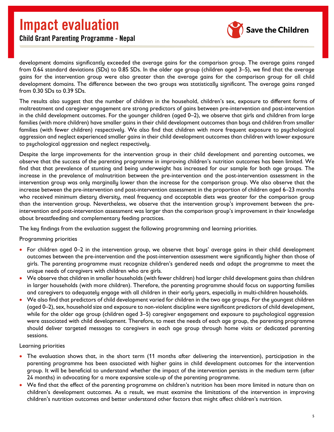

Child Grant Parenting Programme - Nepal

development domains significantly exceeded the average gains for the comparison group. The average gains ranged from 0.64 standard deviations (SDs) to 0.85 SDs. In the older age group (children aged 3–5), we find that the average gains for the intervention group were also greater than the average gains for the comparison group for all child development domains. The difference between the two groups was statistically significant. The average gains ranged from 0.30 SDs to 0.39 SDs.

The results also suggest that the number of children in the household, children's sex, exposure to different forms of maltreatment and caregiver engagement are strong predictors of gains between pre-intervention and post-intervention in the child development outcomes. For the younger children (aged 0–2), we observe that girls and children from large families (with more children) have smaller gains in their child development outcomes than boys and children from smaller families (with fewer children) respectively. We also find that children with more frequent exposure to psychological aggression and neglect experienced smaller gains in their child development outcomes than children with lower exposure to psychological aggression and neglect respectively.

Despite the large improvements for the intervention group in their child development and parenting outcomes, we observe that the success of the parenting programme in improving children's nutrition outcomes has been limited. We find that that prevalence of stunting and being underweight has increased for our sample for both age groups. The increase in the prevalence of malnutrition between the pre-intervention and the post-intervention assessment in the intervention group was only marginally lower than the increase for the comparison group. We also observe that the increase between the pre-intervention and post-intervention assessment in the proportion of children aged 6–23 months who received minimum dietary diversity, meal frequency and acceptable diets was greater for the comparison group than the intervention group. Nevertheless, we observe that the intervention group's improvement between the preintervention and post-intervention assessment was larger than the comparison group's improvement in their knowledge about breastfeeding and complementary feeding practices.

The key findings from the evaluation suggest the following programming and learning priorities.

#### Programming priorities

- For children aged 0–2 in the intervention group, we observe that boys' average gains in their child development outcomes between the pre-intervention and the post-intervention assessment were significantly higher than those of girls. The parenting programme must recognize children's gendered needs and adapt the programme to meet the unique needs of caregivers with children who are girls.
- We observe that children in smaller households (with fewer children) had larger child development gains than children in larger households (with more children). Therefore, the parenting programme should focus on supporting families and caregivers to adequately engage with all children in their early years, especially in multi-children households.
- We also find that predictors of child development varied for children in the two age groups. For the youngest children (aged 0–2), sex, household size and exposure to non-violent discipline were significant predictors of child development, while for the older age group (children aged 3–5) caregiver engagement and exposure to psychological aggression were associated with child development. Therefore, to meet the needs of each age group, the parenting programme should deliver targeted messages to caregivers in each age group through home visits or dedicated parenting sessions.

#### Learning priorities

- The evaluation shows that, in the short term (11 months after delivering the intervention), participation in the parenting programme has been associated with higher gains in child development outcomes for the intervention group. It will be beneficial to understand whether the impact of the intervention persists in the medium term (after 24 months) in advocating for a more expansive scale-up of the parenting programme.
- We find that the effect of the parenting programme on children's nutrition has been more limited in nature than on children's development outcomes. As a result, we must examine the limitations of the intervention in improving children's nutrition outcomes and better understand other factors that might affect children's nutrition.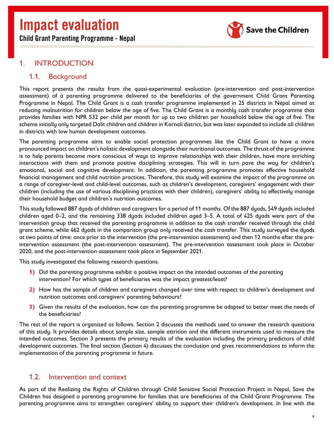Child Grant Parenting Programme - Nepal



### <span id="page-7-0"></span>1. INTRODUCTION

#### <span id="page-7-1"></span>1.1. Background

This report presents the results from the quasi-experimental evaluation (pre-intervention and post-intervention assessment) of a parenting programme delivered to the beneficiaries of the government Child Grant Parenting Programme in Nepal. The Child Grant is a cash transfer programme implemented in 25 districts in Nepal aimed at reducing malnutrition for children below the age of five. The Child Grant is a monthly cash transfer programme that provides families with NPR 532 per child per month for up to two children per household below the age of five. The scheme initially only targeted Dalit children and children in Karnali district, but was later expanded to include all children in districts with low human development outcomes.

The parenting programme aims to enable social protection programmes like the Child Grant to have a more pronounced impact on children's holistic development alongside their nutritional outcomes. The thrust of the programme is to help parents become more conscious of ways to improve relationships with their children, have more enriching interactions with them and promote positive disciplining strategies. This will in turn pave the way for children's emotional, social and cognitive development. In addition, the parenting programme promotes effective household financial management and child nutrition practices. Therefore, this study will examine the impact of the programme on a range of caregiver-level and child-level outcomes, such as children's development, caregivers' engagement with their children (including the use of various disciplining practices with their children), caregivers' ability to effectively manage their household budget and children's nutrition outcomes.

This study followed 887 dyads of children and caregivers for a period of 11 months. Of the 887 dyads, 549 dyads included children aged 0–2, and the remaining 338 dyads included children aged 3–5. A total of 425 dyads were part of the intervention group that received the parenting programme in addition to the cash transfer received through the child grant scheme, while 462 dyads in the comparison group only received the cash transfer. This study surveyed the dyads at two points of time: once prior to the intervention (the pre-intervention assessment) and then 12 months after the preintervention assessment (the post-intervention assessment). The pre-intervention assessment took place in October 2020, and the post-intervention assessment took place in September 2021.

This study investigated the following research questions.

- **1)** Did the parenting programme exhibit a positive impact on the intended outcomes of the parenting intervention? For which types of beneficiaries was the impact greatest/least?
- **2)** How has the sample of children and caregivers changed over time with respect to children's development and nutrition outcomes and caregivers' parenting behaviours?
- **3)** Given the results of the evaluation, how can the parenting programme be adapted to better meet the needs of the beneficiaries?

The rest of the report is organized as follows. Section 2 discusses the methods used to answer the research questions of this study. It provides details about sample size, sample attrition and the different instruments used to measure the intended outcomes. Section 3 presents the primary results of the evaluation including the primary predictors of child development outcomes. The final section (Section 4) discusses the conclusion and gives recommendations to inform the implementation of the parenting programme in future.

### <span id="page-7-2"></span>1.2. Intervention and context

As part of the Realizing the Rights of Children through Child Sensitive Social Protection Project in Nepal, Save the Children has designed a parenting programme for families that are beneficiaries of the Child Grant Programme. The parenting programme aims to strengthen caregivers' ability to support their children's development. In line with the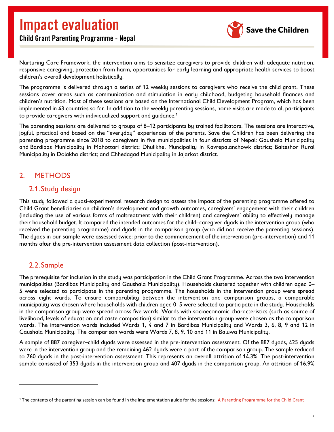

Nurturing Care Framework, the intervention aims to sensitize caregivers to provide children with adequate nutrition, responsive caregiving, protection from harm, opportunities for early learning and appropriate health services to boost children's overall development holistically.

The programme is delivered through a series of 12 weekly sessions to caregivers who receive the child grant. These sessions cover areas such as communication and stimulation in early childhood, budgeting household finances and children's nutrition. Most of these sessions are based on the International Child Development Program, which has been implemented in 43 countries so far. In addition to the weekly parenting sessions, home visits are made to all participants to provide caregivers with individualized support and guidance.<sup>[1](#page-8-3)</sup>

The parenting sessions are delivered to groups of 8–12 participants by trained facilitators. The sessions are interactive, joyful, practical and based on the "everyday" experiences of the parents. Save the Children has been delivering the parenting programme since 2018 to caregivers in five municipalities in four districts of Nepal: Gaushala Municipality and Bardibas Municipality in Mahottari district; Dhulikhel Muncipality in Kavrepalanchowk district; Baiteshor Rural Municipality in Dolakha district; and Chhedagad Municipality in Jajarkot district.

## <span id="page-8-0"></span>2. METHODS

### <span id="page-8-1"></span>2.1.Study design

This study followed a quasi-experimental research design to assess the impact of the parenting programme offered to Child Grant beneficiaries on children's development and growth outcomes, caregivers' engagement with their children (including the use of various forms of maltreatment with their children) and caregivers' ability to effectively manage their household budget. It compared the intended outcomes for the child–caregiver dyads in the intervention group (who received the parenting programme) and dyads in the comparison group (who did not receive the parenting sessions). The dyads in our sample were assessed twice: prior to the commencement of the intervention (pre-intervention) and 11 months after the pre-intervention assessment data collection (post-intervention).

## <span id="page-8-2"></span>2.2.Sample

The prerequisite for inclusion in the study was participation in the Child Grant Programme. Across the two intervention municipalities (Bardibas Municipality and Gaushala Municipality). Households clustered together with children aged 0– 5 were selected to participate in the parenting programme. The households in the intervention group were spread across eight wards. To ensure comparability between the intervention and comparison groups, a comparable municipality was chosen where households with children aged 0–5 were selected to participate in the study. Households in the comparison group were spread across five wards. Wards with socioeconomic characteristics (such as source of livelihood, levels of education and caste composition) similar to the intervention group were chosen as the comparison wards. The intervention wards included Wards 1, 4 and 7 in Bardibas Municipality and Wards 3, 6, 8, 9 and 12 in Gaushala Municipality. The comparison wards were Wards 7, 8, 9, 10 and 11 in Baluwa Municipality.

A sample of 887 caregiver–child dyads were assessed in the pre-intervention assessment. Of the 887 dyads, 425 dyads were in the intervention group and the remaining 462 dyads were a part of the comparison group. The sample reduced to 760 dyads in the post-intervention assessment. This represents an overall attrition of 14.3%. The post-intervention sample consisted of 353 dyads in the intervention group and 407 dyads in the comparison group. An attrition of 16.9%

<span id="page-8-3"></span> $1$  The contents of the parenting session can be found in the implementation guide for the sessions: A Parenting Programme for the Child Grant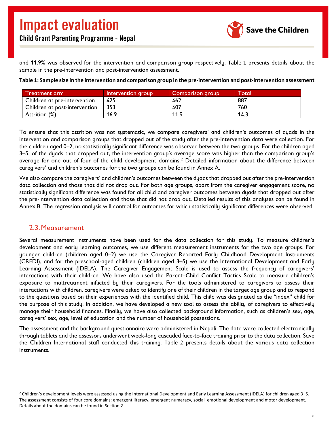

and 11.9% was observed for the intervention and comparison group respectively. [Table 1](#page-9-1) presents details about the sample in the pre-intervention and post-intervention assessment.

| ' I reatment arm .            | Intervention group | Comparison aroup. | <b>Total</b> |
|-------------------------------|--------------------|-------------------|--------------|
| Children at pre-intervention  | 425                | 462               | 887          |
| Children at post-intervention | 353                | 407               | 760          |
| Attrition (%)                 | 16.9               | 11.9              | 3.14         |

<span id="page-9-1"></span>**Table 1: Sample size in the intervention and comparison group in the pre-intervention and post-intervention assessment**

To ensure that this attrition was not systematic, we compare caregivers' and children's outcomes of dyads in the intervention and comparison groups that dropped out of the study after the pre-intervention data were collection. For the children aged 0–2, no statistically significant difference was observed between the two groups. For the children aged 3–5, of the dyads that dropped out, the intervention group's average score was higher than the comparison group's average for one out of four of the child development domains.[2](#page-9-3) Detailed information about the difference between caregivers' and children's outcomes for the two groups can be found in Annex A.

We also compare the caregivers' and children's outcomes between the dyads that dropped out after the pre-intervention data collection and those that did not drop out. For both age groups, apart from the caregiver engagement score, no statistically significant difference was found for all child and caregiver outcomes between dyads that dropped out after the pre-intervention data collection and those that did not drop out. Detailed results of this analyses can be found in Annex B. The regression analysis will control for outcomes for which statistically significant differences were observed.

#### <span id="page-9-0"></span>2.3.Measurement

Several measurement instruments have been used for the data collection for this study. To measure children's development and early learning outcomes, we use different measurement instruments for the two age groups. For younger children (children aged 0–2) we use the Caregiver Reported Early Childhood Development Instruments (CREDI), and for the preschool-aged children (children aged 3–5) we use the International Development and Early Learning Assessment (IDELA). The Caregiver Engagement Scale is used to assess the frequency of caregivers' interactions with their children. We have also used the Parent–Child Conflict Tactics Scale to measure children's exposure to maltreatment inflicted by their caregivers. For the tools administered to caregivers to assess their interactions with children, caregivers were asked to identify one of their children in the target age group and to respond to the questions based on their experiences with the identified child. This child was designated as the "index" child for the purpose of this study. In addition, we have developed a new tool to assess the ability of caregivers to effectively manage their household finances. Finally, we have also collected background information, such as children's sex, age, caregivers' sex, age, level of education and the number of household possessions.

<span id="page-9-2"></span>The assessment and the background questionnaire were administered in Nepali. The data were collected electronically through tablets and the assessors underwent week-long cascaded face-to-face training prior to the data collection. Save the Children International staff conducted this training. [Table 2](#page-9-2) presents details about the various data collection instruments.

<span id="page-9-3"></span><sup>2</sup> Children's development levels were assessed using the International Development and Early Learning Assessment (IDELA) for children aged 3–5. The assessment consists of four core domains: emergent literacy, emergent numeracy, social–emotional development and motor development. Details about the domains can be found in Section 2.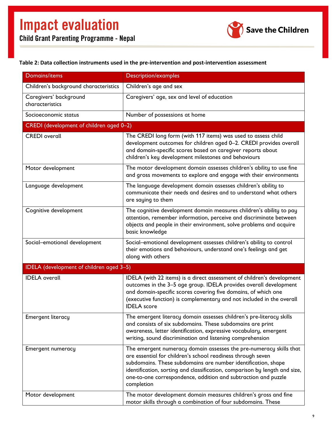

#### <span id="page-10-0"></span>**Table 2: Data collection instruments used in the pre-intervention and post-intervention assessment**

| <b>Domains/items</b>                      | <b>Description/examples</b>                                                                                                                                                                                                                                                                                                                                      |  |  |  |
|-------------------------------------------|------------------------------------------------------------------------------------------------------------------------------------------------------------------------------------------------------------------------------------------------------------------------------------------------------------------------------------------------------------------|--|--|--|
| Children's background characteristics     | Children's age and sex                                                                                                                                                                                                                                                                                                                                           |  |  |  |
| Caregivers' background<br>characteristics | Caregivers' age, sex and level of education                                                                                                                                                                                                                                                                                                                      |  |  |  |
| Socioeconomic status                      | Number of possessions at home                                                                                                                                                                                                                                                                                                                                    |  |  |  |
| CREDI (development of children aged 0-2)  |                                                                                                                                                                                                                                                                                                                                                                  |  |  |  |
| <b>CREDI</b> overall                      | The CREDI long form (with 117 items) was used to assess child<br>development outcomes for children aged 0-2. CREDI provides overall<br>and domain-specific scores based on caregiver reports about<br>children's key development milestones and behaviours                                                                                                       |  |  |  |
| Motor development                         | The motor development domain assesses children's ability to use fine<br>and gross movements to explore and engage with their environments                                                                                                                                                                                                                        |  |  |  |
| Language development                      | The language development domain assesses children's ability to<br>communicate their needs and desires and to understand what others<br>are saying to them                                                                                                                                                                                                        |  |  |  |
| Cognitive development                     | The cognitive development domain measures children's ability to pay<br>attention, remember information, perceive and discriminate between<br>objects and people in their environment, solve problems and acquire<br>basic knowledge                                                                                                                              |  |  |  |
| Social-emotional development              | Social-emotional development assesses children's ability to control<br>their emotions and behaviours, understand one's feelings and get<br>along with others                                                                                                                                                                                                     |  |  |  |
| IDELA (development of children aged 3-5)  |                                                                                                                                                                                                                                                                                                                                                                  |  |  |  |
| <b>IDELA</b> overall                      | IDELA (with 22 items) is a direct assessment of children's development<br>outcomes in the 3-5 age group. IDELA provides overall development<br>and domain-specific scores covering five domains, of which one<br>(executive function) is complementary and not included in the overall<br><b>IDELA</b> score                                                     |  |  |  |
| <b>Emergent literacy</b>                  | The emergent literacy domain assesses children's pre-literacy skills<br>and consists of six subdomains. These subdomains are print<br>awareness, letter identification, expressive vocabulary, emergent<br>writing, sound discrimination and listening comprehension                                                                                             |  |  |  |
| <b>Emergent numeracy</b>                  | The emergent numeracy domain assesses the pre-numeracy skills that<br>are essential for children's school readiness through seven<br>subdomains. These subdomains are number identification, shape<br>identification, sorting and classification, comparison by length and size,<br>one-to-one correspondence, addition and subtraction and puzzle<br>completion |  |  |  |
| Motor development                         | The motor development domain measures children's gross and fine<br>motor skills through a combination of four subdomains. These                                                                                                                                                                                                                                  |  |  |  |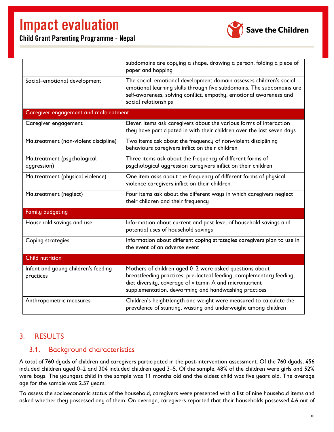

Child Grant Parenting Programme - Nepal

|                                                  | subdomains are copying a shape, drawing a person, folding a piece of<br>paper and hopping                                                                                                                                                          |  |  |  |
|--------------------------------------------------|----------------------------------------------------------------------------------------------------------------------------------------------------------------------------------------------------------------------------------------------------|--|--|--|
| Social-emotional development                     | The social-emotional development domain assesses children's social-<br>emotional learning skills through five subdomains. The subdomains are<br>self-awareness, solving conflict, empathy, emotional awareness and<br>social relationships         |  |  |  |
| Caregiver engagement and maltreatment            |                                                                                                                                                                                                                                                    |  |  |  |
| Caregiver engagement                             | Eleven items ask caregivers about the various forms of interaction<br>they have participated in with their children over the last seven days                                                                                                       |  |  |  |
| Maltreatment (non-violent discipline)            | Two items ask about the frequency of non-violent disciplining<br>behaviours caregivers inflict on their children                                                                                                                                   |  |  |  |
| Maltreatment (psychological<br>aggression)       | Three items ask about the frequency of different forms of<br>psychological aggression caregivers inflict on their children                                                                                                                         |  |  |  |
| Maltreatment (physical violence)                 | One item asks about the frequency of different forms of physical<br>violence caregivers inflict on their children                                                                                                                                  |  |  |  |
| Maltreatment (neglect)                           | Four items ask about the different ways in which caregivers neglect<br>their children and their frequency                                                                                                                                          |  |  |  |
| <b>Family budgeting</b>                          |                                                                                                                                                                                                                                                    |  |  |  |
| Household savings and use                        | Information about current and past level of household savings and<br>potential uses of household savings                                                                                                                                           |  |  |  |
| Coping strategies                                | Information about different coping strategies caregivers plan to use in<br>the event of an adverse event                                                                                                                                           |  |  |  |
| <b>Child nutrition</b>                           |                                                                                                                                                                                                                                                    |  |  |  |
| Infant and young children's feeding<br>practices | Mothers of children aged 0-2 were asked questions about<br>breastfeeding practices, pre-lacteal feeding, complementary feeding,<br>diet diversity, coverage of vitamin A and micronutrient<br>supplementation, deworming and handwashing practices |  |  |  |
| Anthropometric measures                          | Children's height/length and weight were measured to calculate the<br>prevalence of stunting, wasting and underweight among children                                                                                                               |  |  |  |

### <span id="page-11-0"></span>3. RESULTS

### <span id="page-11-1"></span>3.1. Background characteristics

A total of 760 dyads of children and caregivers participated in the post-intervention assessment. Of the 760 dyads, 456 included children aged 0–2 and 304 included children aged 3–5. Of the sample, 48% of the children were girls and 52% were boys. The youngest child in the sample was 11 months old and the oldest child was five years old. The average age for the sample was 2.57 years.

To assess the socioeconomic status of the household, caregivers were presented with a list of nine household items and asked whether they possessed any of them. On average, caregivers reported that their households possessed 4.6 out of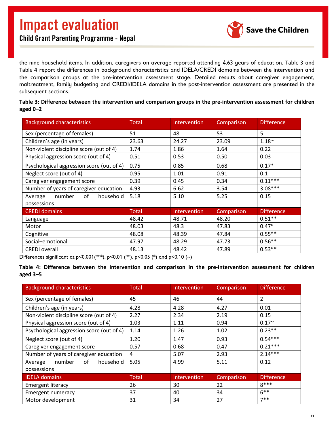

the nine household items. In addition, caregivers on average reported attending 4.63 years of education. [Table 3](#page-12-0) and [Table 4](#page-12-1) report the differences in background characteristics and IDELA/CREDI domains between the intervention and the comparison groups at the pre-intervention assessment stage. Detailed results about caregiver engagement, maltreatment, family budgeting and CREDI/IDELA domains in the post-intervention assessment are presented in the subsequent sections.

| <b>Background characteristics</b>         | Total        | Intervention | Comparison | <b>Difference</b> |
|-------------------------------------------|--------------|--------------|------------|-------------------|
| Sex (percentage of females)               | 51           | 48           | 53         | 5                 |
| Children's age (in years)                 | 23.63        | 24.27        | 23.09      | $1.18^{\sim}$     |
| Non-violent discipline score (out of 4)   | 1.74         | 1.86         | 1.64       | 0.22              |
| Physical aggression score (out of 4)      | 0.51         | 0.53         | 0.50       | 0.03              |
| Psychological aggression score (out of 4) | 0.75         | 0.85         | 0.68       | $0.17*$           |
| Neglect score (out of 4)                  | 0.95         | 1.01         | 0.91       | 0.1               |
| Caregiver engagement score                | 0.39         | 0.45         | 0.34       | $0.11***$         |
| Number of years of caregiver education    | 4.93         | 6.62         | 3.54       | $3.08***$         |
| number<br>of<br>household<br>Average      | 5.18         | 5.10         | 5.25       | 0.15              |
| possessions                               |              |              |            |                   |
| <b>CREDI</b> domains                      | <b>Total</b> | Intervention | Comparison | <b>Difference</b> |
| Language                                  | 48.42        | 48.71        | 48.20      | $0.51**$          |
| Motor                                     | 48.03        | 48.3         | 47.83      | $0.47*$           |
| Cognitive                                 | 48.08        | 48.39        | 47.84      | $0.55***$         |
| Social-emotional                          | 47.97        | 48.29        | 47.73      | $0.56**$          |
| <b>CREDI</b> overall                      | 48.13        | 48.42        | 47.89      | $0.53**$          |

<span id="page-12-0"></span>**Table 3: Difference between the intervention and comparison groups in the pre-intervention assessment for children aged 0–2**

Differences significant at p<0.001(\*\*\*), p<0.01 (\*\*), p<0.05 (\*) and p<0.10 (~)

<span id="page-12-1"></span>**Table 4: Difference between the intervention and comparison in the pre-intervention assessment for children aged 3–5**

| <b>Background characteristics</b>         | Total        | <b>Intervention</b> | Comparison | <b>Difference</b> |
|-------------------------------------------|--------------|---------------------|------------|-------------------|
| Sex (percentage of females)               | 45           | 46                  | 44         | $\overline{2}$    |
| Children's age (in years)                 | 4.28         | 4.28                | 4.27       | 0.01              |
| Non-violent discipline score (out of 4)   | 2.27         | 2.34                | 2.19       | 0.15              |
| Physical aggression score (out of 4)      | 1.03         | 1.11                | 0.94       | $0.17^{\sim}$     |
| Psychological aggression score (out of 4) | 1.14         | 1.26                | 1.02       | $0.23**$          |
| Neglect score (out of 4)                  | 1.20         | 1.47                | 0.93       | $0.54***$         |
| Caregiver engagement score                | 0.57         | 0.68                | 0.47       | $0.21***$         |
| Number of years of caregiver education    | 4            | 5.07                | 2.93       | $2.14***$         |
| number<br>of<br>household<br>Average      | 5.05         | 4.99                | 5.11       | 0.12              |
| possessions                               |              |                     |            |                   |
| <b>IDELA</b> domains                      | <b>Total</b> | <b>Intervention</b> | Comparison | <b>Difference</b> |
| <b>Emergent literacy</b>                  | 26           | 30                  | 22         | $8***$            |
| <b>Emergent numeracy</b>                  | 37           | 40                  | 34         | $6***$            |
| Motor development                         | 31           | 34                  | 27         | $7**$             |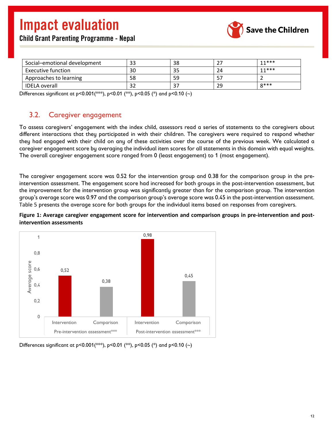

|  | <b>Child Grant Parenting Programme - Nepal</b> |  |
|--|------------------------------------------------|--|
|  |                                                |  |

| Social-emotional development | 33  | 38 | <u>.</u> | $11***$ |
|------------------------------|-----|----|----------|---------|
| <b>Executive function</b>    | 30  |    | 7Δ       | $11***$ |
| Approaches to learning       | 58  | 59 |          |         |
| <b>IDELA overall</b>         | ے د |    | 29       | $Q$ *** |

Differences significant at p<0.001(\*\*\*), p<0.01 (\*\*), p<0.05 (\*) and p<0.10 (~)

### <span id="page-13-0"></span>3.2. Caregiver engagement

To assess caregivers' engagement with the index child, assessors read a series of statements to the caregivers about different interactions that they participated in with their children. The caregivers were required to respond whether they had engaged with their child on any of these activities over the course of the previous week. We calculated a caregiver engagement score by averaging the individual item scores for all statements in this domain with equal weights. The overall caregiver engagement score ranged from 0 (least engagement) to 1 (most engagement).

The caregiver engagement score was 0.52 for the intervention group and 0.38 for the comparison group in the preintervention assessment. The engagement score had increased for both groups in the post-intervention assessment, but the improvement for the intervention group was significantly greater than for the comparison group. The intervention group's average score was 0.97 and the comparison group's average score was 0.45 in the post-intervention assessment. [Table 5](#page-13-1) presents the average score for both groups for the individual items based on responses from caregivers.

<span id="page-13-2"></span>

<span id="page-13-1"></span>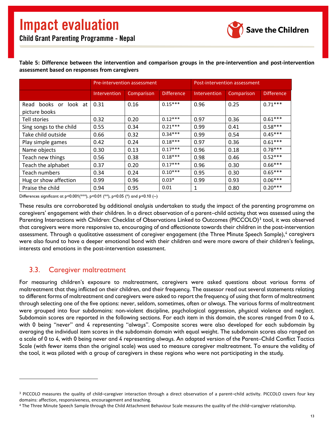

#### **Table 5: Difference between the intervention and comparison groups in the pre-intervention and post-intervention assessment based on responses from caregivers**

|                                        |              | Pre-intervention assessment |                   | Post-intervention assessment |            |                   |  |
|----------------------------------------|--------------|-----------------------------|-------------------|------------------------------|------------|-------------------|--|
|                                        | Intervention | Comparison                  | <b>Difference</b> | <b>Intervention</b>          | Comparison | <b>Difference</b> |  |
| Read books or look at<br>picture books | 0.31         | 0.16                        | $0.15***$         | 0.96                         | 0.25       | $0.71***$         |  |
| Tell stories                           | 0.32         | 0.20                        | $0.12***$         | 0.97                         | 0.36       | $0.61***$         |  |
| Sing songs to the child                | 0.55         | 0.34                        | $0.21***$         | 0.99                         | 0.41       | $0.58***$         |  |
| Take child outside                     | 0.66         | 0.32                        | $0.34***$         | 0.99                         | 0.54       | $0.45***$         |  |
| Play simple games                      | 0.42         | 0.24                        | $0.18***$         | 0.97                         | 0.36       | $0.61***$         |  |
| Name objects                           | 0.30         | 0.13                        | $0.17***$         | 0.96                         | 0.18       | $0.78***$         |  |
| Teach new things                       | 0.56         | 0.38                        | $0.18***$         | 0.98                         | 0.46       | $0.52***$         |  |
| Teach the alphabet                     | 0.37         | 0.20                        | $0.17***$         | 0.96                         | 0.30       | $0.66***$         |  |
| Teach numbers                          | 0.34         | 0.24                        | $0.10***$         | 0.95                         | 0.30       | $0.65***$         |  |
| Hug or show affection                  | 0.99         | 0.96                        | $0.03*$           | 0.99                         | 0.93       | $0.06***$         |  |
| Praise the child                       | 0.94         | 0.95                        | 0.01              | 1                            | 0.80       | $0.20***$         |  |

Differences significant at p<0.001(\*\*\*), p<0.01 (\*\*), p<0.05 (\*) and p<0.10 (~)

These results are corroborated by additional analysis undertaken to study the impact of the parenting programme on caregivers' engagement with their children. In a direct observation of a parent–child activity that was assessed using the Parenting Interactions with Children: Checklist of Observations Linked to Outcomes (PICCOLO)<sup>[3](#page-14-1)</sup> tool, it was observed that caregivers were more responsive to, encouraging of and affectionate towards their children in the post-intervention assessment. Through a qualitative assessment of caregiver engagement (the Three Minute Speech Sample),<sup>[4](#page-14-2)</sup> caregivers were also found to have a deeper emotional bond with their children and were more aware of their children's feelings, interests and emotions in the post-intervention assessment.

### <span id="page-14-0"></span>3.3. Caregiver maltreatment

For measuring children's exposure to maltreatment, caregivers were asked questions about various forms of maltreatment that they inflicted on their children, and their frequency. The assessor read out several statements relating to different forms of maltreatment and caregivers were asked to report the frequency of using that form of maltreatment through selecting one of the five options: never, seldom, sometimes, often or always. The various forms of maltreatment were grouped into four subdomains: non-violent discipline, psychological aggression, physical violence and neglect. Subdomain scores are reported in the following sections. For each item in this domain, the scores ranged from 0 to 4, with 0 being "never" and 4 representing "always". Composite scores were also developed for each subdomain by averaging the individual item scores in the subdomain domain with equal weight. The subdomain scores also ranged on a scale of 0 to 4, with 0 being never and 4 representing always. An adapted version of the Parent–Child Conflict Tactics Scale (with fewer items than the original scale) was used to measure caregiver maltreatment. To ensure the validity of the tool, it was piloted with a group of caregivers in these regions who were not participating in the study.

<span id="page-14-1"></span><sup>3</sup> PICCOLO measures the quality of child–caregiver interaction through a direct observation of a parent–child activity. PICCOLO covers four key domains: affection, responsiveness, encouragement and teaching.

<span id="page-14-2"></span><sup>4</sup> The Three Minute Speech Sample through the Child Attachment Behaviour Scale measures the quality of the child–caregiver relationship.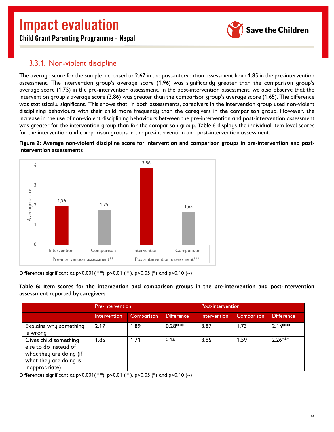

Child Grant Parenting Programme - Nepal

### <span id="page-15-0"></span>3.3.1. Non-violent discipline

The average score for the sample increased to 2.67 in the post-intervention assessment from 1.85 in the pre-intervention assessment. The intervention group's average score (1.96) was significantly greater than the comparison group's average score (1.75) in the pre-intervention assessment. In the post-intervention assessment, we also observe that the intervention group's average score (3.86) was greater than the comparison group's average score (1.65). The difference was statistically significant. This shows that, in both assessments, caregivers in the intervention group used non-violent disciplining behaviours with their child more frequently than the caregivers in the comparison group. However, the increase in the use of non-violent disciplining behaviours between the pre-intervention and post-intervention assessment was greater for the intervention group than for the comparison group. [Table 6](#page-15-1) displays the individual item level scores for the intervention and comparison groups in the pre-intervention and post-intervention assessment.

#### <span id="page-15-2"></span>**Figure 2: Average non-violent discipline score for intervention and comparison groups in pre-intervention and postintervention assessments**



Differences significant at p<0.001(\*\*\*), p<0.01 (\*\*), p<0.05 (\*) and p<0.10 (~)

<span id="page-15-1"></span>

|                                   |  |  |  |  |  |  | Table 6: Item scores for the intervention and comparison groups in the pre-intervention and post-intervention |
|-----------------------------------|--|--|--|--|--|--|---------------------------------------------------------------------------------------------------------------|
| assessment reported by caregivers |  |  |  |  |  |  |                                                                                                               |

|                                                                                                                       | Pre-intervention |            |                   | Post-intervention |            |                   |
|-----------------------------------------------------------------------------------------------------------------------|------------------|------------|-------------------|-------------------|------------|-------------------|
|                                                                                                                       | Intervention     | Comparison | <b>Difference</b> | Intervention      | Comparison | <b>Difference</b> |
| Explains why something<br>is wrong                                                                                    | 2.17             | 1.89       | $0.28***$         | 3.87              | 1.73       | $2.14***$         |
| Gives child something<br>else to do instead of<br>what they are doing (if<br>what they are doing is<br>inappropriate) | 1.85             | 1.71       | 0.14              | 3.85              | 1.59       | $2.26***$         |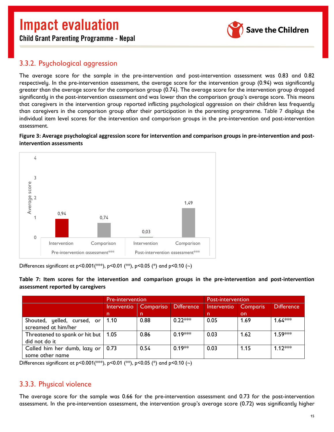

Child Grant Parenting Programme - Nepal

## <span id="page-16-0"></span>3.3.2. Psychological aggression

The average score for the sample in the pre-intervention and post-intervention assessment was 0.83 and 0.82 respectively. In the pre-intervention assessment, the average score for the intervention group (0.94) was significantly greater than the average score for the comparison group (0.74). The average score for the intervention group dropped significantly in the post-intervention assessment and was lower than the comparison group's average score. This means that caregivers in the intervention group reported inflicting psychological aggression on their children less frequently than caregivers in the comparison group after their participation in the parenting programme. [Table 7](#page-16-2) displays the individual item level scores for the intervention and comparison groups in the pre-intervention and post-intervention assessment.

<span id="page-16-3"></span>**Figure 3: Average psychological aggression score for intervention and comparison groups in pre-intervention and postintervention assessments**



Differences significant at p<0.001(\*\*\*), p<0.01 (\*\*), p<0.05 (\*) and p<0.10 (~)

<span id="page-16-2"></span>**Table 7: Item scores for the intervention and comparison groups in the pre-intervention and post-intervention assessment reported by caregivers**

|                                       | <b>Pre-intervention</b> |                                |           | Post-intervention |                 |                   |
|---------------------------------------|-------------------------|--------------------------------|-----------|-------------------|-----------------|-------------------|
|                                       | Interventio             | Difference<br><b>Compariso</b> |           | Interventio       | <b>Comparis</b> | <b>Difference</b> |
|                                       | n.                      | <sub>n</sub>                   |           | n.                | on.             |                   |
| Shouted, yelled, cursed, or           | 1.10                    | 0.88                           | $0.22***$ | 0.05              | 1.69            | $1.64***$         |
| screamed at him/her                   |                         |                                |           |                   |                 |                   |
| Threatened to spank or hit but   1.05 |                         | 0.86                           | $0.19***$ | 0.03              | 1.62            | $1.59***$         |
| did not do it                         |                         |                                |           |                   |                 |                   |
| Called him her dumb, lazy or          | 0.73                    | 0.54                           | $0.19**$  | 0.03              | 1.15            | $1.12***$         |
| some other name                       |                         |                                |           |                   |                 |                   |

Differences significant at p<0.001(\*\*\*), p<0.01 (\*\*), p<0.05 (\*) and p<0.10 (~)

### <span id="page-16-1"></span>3.3.3. Physical violence

The average score for the sample was 0.66 for the pre-intervention assessment and 0.73 for the post-intervention assessment. In the pre-intervention assessment, the intervention group's average score (0.72) was significantly higher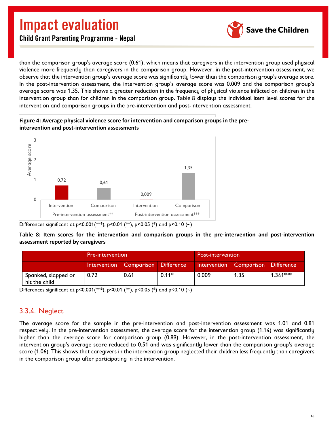

Child Grant Parenting Programme - Nepal

than the comparison group's average score (0.61), which means that caregivers in the intervention group used physical violence more frequently than caregivers in the comparison group. However, in the post-intervention assessment, we observe that the intervention group's average score was significantly lower than the comparison group's average score. In the post-intervention assessment, the intervention group's average score was 0.009 and the comparison group's average score was 1.35. This shows a greater reduction in the frequency of physical violence inflicted on children in the intervention group than for children in the comparison group. [Table 8](#page-17-1) displays the individual item level scores for the intervention and comparison groups in the pre-intervention and post-intervention assessment.





Differences significant at p<0.001(\*\*), p<0.01 (\*\*), p<0.05 (\*) and p<0.10 (~)

<span id="page-17-1"></span>**Table 8: Item scores for the intervention and comparison groups in the pre-intervention and post-intervention assessment reported by caregivers**

|                                      | <b>Pre-intervention</b> |                                    |         | <b>Post-intervention</b> |                                    |            |
|--------------------------------------|-------------------------|------------------------------------|---------|--------------------------|------------------------------------|------------|
|                                      |                         | Intervention Comparison Difference |         |                          | Intervention Comparison Difference |            |
| Spanked, slapped or<br>hit the child | 0.72                    | 0.61                               | $0.11*$ | 0.009                    | 1.35                               | $1.341***$ |

Differences significant at p<0.001(\*\*\*), p<0.01 (\*\*), p<0.05 (\*) and p<0.10 (~)

### <span id="page-17-0"></span>3.3.4. Neglect

The average score for the sample in the pre-intervention and post-intervention assessment was 1.01 and 0.81 respectively. In the pre-intervention assessment, the average score for the intervention group (1.14) was significantly higher than the average score for comparison group (0.89). However, in the post-intervention assessment, the intervention group's average score reduced to 0.51 and was significantly lower than the comparison group's average score (1.06). This shows that caregivers in the intervention group neglected their children less frequently than caregivers in the comparison group after participating in the intervention.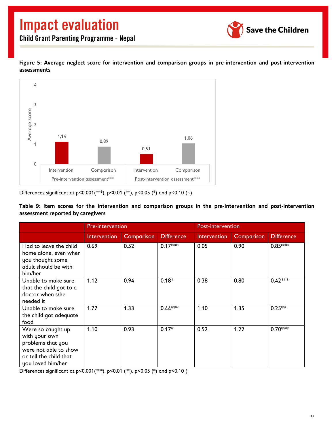

<span id="page-18-1"></span>**Figure 5: Average neglect score for intervention and comparison groups in pre-intervention and post-intervention assessments**



Differences significant at p<0.001(\*\*\*), p<0.01 (\*\*), p<0.05 (\*) and p<0.10 (~)

<span id="page-18-0"></span>**Table 9: Item scores for the intervention and comparison groups in the pre-intervention and post-intervention assessment reported by caregivers**

|                                                                                                                                 | Pre-intervention    |                   |                   | Post-intervention |            |                   |  |
|---------------------------------------------------------------------------------------------------------------------------------|---------------------|-------------------|-------------------|-------------------|------------|-------------------|--|
|                                                                                                                                 | <b>Intervention</b> | <b>Comparison</b> | <b>Difference</b> | Intervention      | Comparison | <b>Difference</b> |  |
| Had to leave the child<br>home alone, even when<br>you thought some<br>adult should be with<br>him/her                          | 0.69                | 0.52              | $0.17***$         | 0.05              | 0.90       | $0.85***$         |  |
| Unable to make sure<br>that the child got to a<br>doctor when s/he<br>needed it                                                 | 1.12                | 0.94              | $0.18*$           | 0.38              | 0.80       | $0.42***$         |  |
| Unable to make sure<br>the child got adequate<br>food                                                                           | 1.77                | 1.33              | $0.44***$         | 1.10              | 1.35       | $0.25**$          |  |
| Were so caught up<br>with your own<br>problems that you<br>were not able to show<br>or tell the child that<br>you loved him/her | 1.10                | 0.93              | $0.17*$           | 0.52              | 1.22       | $0.70***$         |  |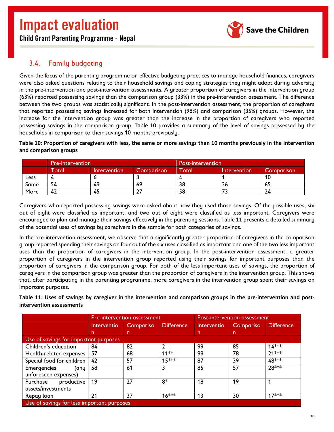Child Grant Parenting Programme - Nepal



## <span id="page-19-0"></span>3.4. Family budgeting

Given the focus of the parenting programme on effective budgeting practices to manage household finances, caregivers were also asked questions relating to their household savings and coping strategies they might adopt during adversity in the pre-intervention and post-intervention assessments. A greater proportion of caregivers in the intervention group (63%) reported possessing savings than the comparison group (33%) in the pre-intervention assessment. The difference between the two groups was statistically significant. In the post-intervention assessment, the proportion of caregivers that reported possessing savings increased for both intervention (98%) and comparison (35%) groups. However, the increase for the intervention group was greater than the increase in the proportion of caregivers who reported possessing savings in the comparison group. [Table 10](#page-19-1) provides a summary of the level of savings possessed by the households in comparison to their savings 10 months previously.

<span id="page-19-1"></span>**Table 10: Proportion of caregivers with less, the same or more savings than 10 months previously in the intervention and comparison groups**

| Pre-intervention |       |                     |            | <b>Post-intervention</b> |              |            |  |
|------------------|-------|---------------------|------------|--------------------------|--------------|------------|--|
|                  | `otal | <b>Intervention</b> | Comparison | Total                    | Intervention | Comparison |  |
| Less             |       |                     |            |                          |              |            |  |
| Same             | 54    | 49                  | -69        | 38                       | 26           | כס         |  |
| More             | 42    | 45                  |            | 58                       |              | 24         |  |

Caregivers who reported possessing savings were asked about how they used those savings. Of the possible uses, six out of eight were classified as important, and two out of eight were classified as less important. Caregivers were encouraged to plan and manage their savings effectively in the parenting sessions. [Table 11](#page-19-2) presents a detailed summary of the potential uses of savings by caregivers in the sample for both categories of savings.

In the pre-intervention assessment, we observe that a significantly greater proportion of caregivers in the comparison group reported spending their savings on four out of the six uses classified as important and one of the two less important uses than the proportion of caregivers in the intervention group. In the post-intervention assessment, a greater proportion of caregivers in the intervention group reported using their savings for important purposes than the proportion of caregivers in the comparison group. For both of the less important uses of savings, the proportion of caregivers in the comparison group was greater than the proportion of caregivers in the intervention group. This shows that, after participating in the parenting programme, more caregivers in the intervention group spent their savings on important purposes.

<span id="page-19-2"></span>**Table 11: Uses of savings by caregiver in the intervention and comparison groups in the pre-intervention and postintervention assessments**

|                                       |                                            | <b>Pre-intervention assessment</b> |                   |             | Post-intervention assessment |                   |  |  |
|---------------------------------------|--------------------------------------------|------------------------------------|-------------------|-------------|------------------------------|-------------------|--|--|
|                                       | Interventio                                | Compariso                          | <b>Difference</b> | Interventio | Compariso                    | <b>Difference</b> |  |  |
|                                       | n                                          | n                                  |                   | n.          | n.                           |                   |  |  |
| Use of savings for important purposes |                                            |                                    |                   |             |                              |                   |  |  |
| Children's education                  | 84                                         | 82                                 | $\mathcal{P}$     | 99          | 85                           | $14***$           |  |  |
| Health-related expenses               | 57                                         | 68                                 | $11**$            | 99          | 78                           | $21***$           |  |  |
| Special food for children             | 42                                         | 57                                 | 15 ***            | 87          | 39                           | 48***             |  |  |
| <b>Emergencies</b><br>(any            | 58                                         | 61                                 | 3                 | 85          | 57                           | 28 ***            |  |  |
| unforeseen expenses)                  |                                            |                                    |                   |             |                              |                   |  |  |
| productive<br>Purchase                | 19                                         | 27                                 | $8*$              | 18          | 19                           |                   |  |  |
| assets/investments                    |                                            |                                    |                   |             |                              |                   |  |  |
| Repay loan                            | 21                                         | 37                                 | $16***$           | 13          | 30                           | 17***             |  |  |
|                                       | Use of savings for less important purposes |                                    |                   |             |                              |                   |  |  |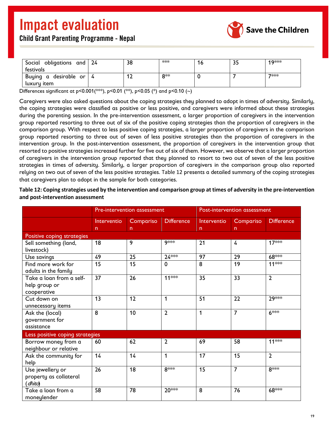

|  |  |  | <b>Child Grant Parenting Programme - Nepal</b> |  |
|--|--|--|------------------------------------------------|--|
|--|--|--|------------------------------------------------|--|

| Social obligations and 24<br>festivals | 38  | $***$ | 16 | 35 | 19 *** |
|----------------------------------------|-----|-------|----|----|--------|
| Buying a desirable or 4<br>luxury item | ' 4 | Ω**   |    |    | 7***   |

Differences significant at p<0.001(\*\*\*), p<0.01 (\*\*), p<0.05 (\*) and p<0.10 (~)

Caregivers were also asked questions about the coping strategies they planned to adopt in times of adversity. Similarly, the coping strategies were classified as positive or less positive, and caregivers were informed about these strategies during the parenting session. In the pre-intervention assessment, a larger proportion of caregivers in the intervention group reported resorting to three out of six of the positive coping strategies than the proportion of caregivers in the comparison group. With respect to less positive coping strategies, a larger proportion of caregivers in the comparison group reported resorting to three out of seven of less positive strategies than the proportion of caregivers in the intervention group. In the post-intervention assessment, the proportion of caregivers in the intervention group that resorted to positive strategies increased further for five out of six of them. However, we observe that a larger proportion of caregivers in the intervention group reported that they planned to resort to two out of seven of the less positive strategies in times of adversity. Similarly, a larger proportion of caregivers in the comparison group also reported relying on two out of seven of the less positive strategies. [Table 12](#page-20-0) presents a detailed summary of the coping strategies that caregivers plan to adopt in the sample for both categories.

<span id="page-20-0"></span>**Table 12: Coping strategies used by the intervention and comparison group at times of adversity in the pre-intervention and post-intervention assessment**

|                                                          | Pre-intervention assessment |                 |                   |             | Post-intervention assessment |                   |
|----------------------------------------------------------|-----------------------------|-----------------|-------------------|-------------|------------------------------|-------------------|
|                                                          | Interventio                 | Compariso<br>n  | <b>Difference</b> | Interventio | Compariso<br>n               | <b>Difference</b> |
| Positive coping strategies                               | $n \sim 100$                |                 |                   | n           |                              |                   |
| Sell something (land,<br>livestock)                      | 18                          | 9               | 9***              | 21          | 4                            | $17***$           |
| Use savings                                              | 49                          | 25              | $24***$           | 97          | 29                           | 68 ***            |
| Find more work for<br>adults in the family               | 15                          | $\overline{15}$ | $\mathbf 0$       | 8           | 19                           | $11***$           |
| Take a loan from a self-<br>help group or<br>cooperative | 37                          | 26              | $11***$           | 35          | 33                           | $\overline{2}$    |
| Cut down on<br>unnecessary items                         | 13                          | 12              | 1                 | 51          | 22                           | $29$ **           |
| Ask the (local)<br>government for<br>assistance          | 8                           | 10              | $\overline{2}$    | 1           | $\overline{7}$               | 6***              |
| Less positive coping strategies                          |                             |                 |                   |             |                              |                   |
| Borrow money from a<br>neighbour or relative             | 60                          | 62              | $\overline{2}$    | 69          | 58                           | 11 ***            |
| Ask the community for<br>help                            | 14                          | 14              | $\mathbf 1$       | 17          | 15                           | $\overline{2}$    |
| Use jewellery or<br>property as collateral<br>(dhito)    | 26                          | 18              | $8$ **            | 15          | $\overline{7}$               | $8***$            |
| Take a loan from a<br>moneylender                        | 58                          | 78              | 20***             | 8           | 76                           | 68***             |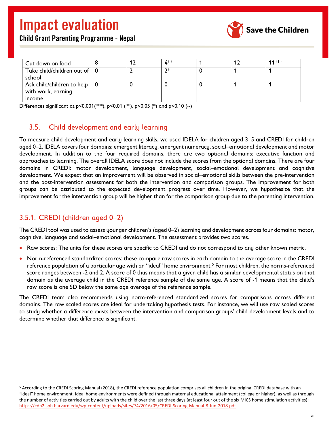

| <b>Child Grant Parenting Programme - Nepal</b> |  |  |
|------------------------------------------------|--|--|
|------------------------------------------------|--|--|

| Cut down on food                           |  | 4**  |  | 11 *** |
|--------------------------------------------|--|------|--|--------|
| Take child/children out of   0             |  | $2*$ |  |        |
| school                                     |  |      |  |        |
| Ask child/children to help $\vert 0 \vert$ |  |      |  |        |
| with work, earning                         |  |      |  |        |
| income                                     |  |      |  |        |

Differences significant at p<0.001(\*\*\*), p<0.01 (\*\*), p<0.05 (\*) and p<0.10 (~)

### <span id="page-21-0"></span>3.5. Child development and early learning

To measure child development and early learning skills, we used IDELA for children aged 3–5 and CREDI for children aged 0–2. IDELA covers four domains: emergent literacy, emergent numeracy, social–emotional development and motor development. In addition to the four required domains, there are two optional domains: executive function and approaches to learning. The overall IDELA score does not include the scores from the optional domains. There are four domains in CREDI: motor development, language development, social–emotional development and cognitive development. We expect that an improvement will be observed in social–emotional skills between the pre-intervention and the post-intervention assessment for both the intervention and comparison groups. The improvement for both groups can be attributed to the expected development progress over time. However, we hypothesize that the improvement for the intervention group will be higher than for the comparison group due to the parenting intervention.

## <span id="page-21-1"></span>3.5.1. CREDI (children aged 0–2)

The CREDI tool was used to assess younger children's (aged 0–2) learning and development across four domains: motor, cognitive, language and social–emotional development. The assessment provides two scores.

- Raw scores: The units for these scores are specific to CREDI and do not correspond to any other known metric.
- Norm-referenced standardized scores: these compare raw scores in each domain to the average score in the CREDI reference population of a particular age with an "ideal" home environment.[5](#page-21-2) For most children, the norms-referenced score ranges between -2 and 2. A score of 0 thus means that a given child has a similar developmental status on that domain as the average child in the CREDI reference sample of the same age. A score of -1 means that the child's raw score is one SD below the same age average of the reference sample.

The CREDI team also recommends using norm-referenced standardized scores for comparisons across different domains. The raw scaled scores are ideal for undertaking hypothesis tests. For instance, we will use raw scaled scores to study whether a difference exists between the intervention and comparison groups' child development levels and to determine whether that difference is significant.

<span id="page-21-2"></span><sup>5</sup> According to the CREDI Scoring Manual (2018), the CREDI reference population comprises all children in the original CREDI database with an "ideal" home environment. Ideal home environments were defined through maternal educational attainment (college or higher), as well as through the number of activities carried out by adults with the child over the last three days (at least four out of the six MICS home stimulation activities): [https://cdn2.sph.harvard.edu/wp-content/uploads/sites/74/2016/05/CREDI-Scoring-Manual-8-Jun-2018.pdf.](https://cdn2.sph.harvard.edu/wp-content/uploads/sites/74/2016/05/CREDI-Scoring-Manual-8-Jun-2018.pdf)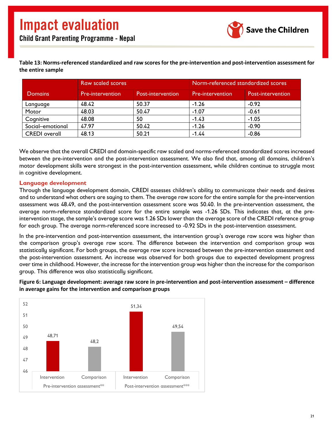

#### <span id="page-22-0"></span>**Table 13: Norms-referenced standardized and raw scores for the pre-intervention and post-intervention assessment for the entire sample**

|                      | <b>Raw scaled scores</b> |                   | Norm-referenced standardized scores |                   |
|----------------------|--------------------------|-------------------|-------------------------------------|-------------------|
| <b>Domains</b>       | Pre-intervention         | Post-intervention | Pre-intervention                    | Post-intervention |
| Language             | 48.42                    | 50.37             | $-1.26$                             | $-0.92$           |
| Motor                | 48.03                    | 50.47             | $-1.07$                             | $-0.61$           |
| Cognitive            | 48.08                    | 50                | $-1.43$                             | $-1.05$           |
| Social-emotional     | 47.97                    | 50.42             | $-1.26$                             | $-0.90$           |
| <b>CREDI</b> overall | 48.13                    | 50.21             | $-1.44$                             | $-0.86$           |

We observe that the overall CREDI and domain-specific raw scaled and norms-referenced standardized scores increased between the pre-intervention and the post-intervention assessment. We also find that, among all domains, children's motor development skills were strongest in the post-intervention assessment, while children continue to struggle most in cognitive development.

#### **Language development**

Through the language development domain, CREDI assesses children's ability to communicate their needs and desires and to understand what others are saying to them. The average raw score for the entire sample for the pre-intervention assessment was 48.49, and the post-intervention assessment score was 50.40. In the pre-intervention assessment, the average norm-reference standardized score for the entire sample was -1.26 SDs. This indicates that, at the preintervention stage, the sample's average score was 1.26 SDs lower than the average score of the CREDI reference group for each group. The average norm-referenced score increased to -0.92 SDs in the post-intervention assessment.

In the pre-intervention and post-intervention assessment, the intervention group's average raw score was higher than the comparison group's average raw score. The difference between the intervention and comparison group was statistically significant. For both groups, the average raw score increased between the pre-intervention assessment and the post-intervention assessment. An increase was observed for both groups due to expected development progress over time in childhood. However, the increase for the intervention group was higher than the increase for the comparison group. This difference was also statistically significant.

<span id="page-22-1"></span>**Figure 6: Language development: average raw score in pre-intervention and post-intervention assessment – difference in average gains for the intervention and comparison groups**

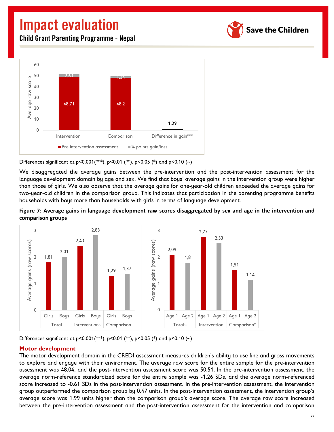Child Grant Parenting Programme - Nepal





Differences significant at p<0.001(\*\*\*), p<0.01 (\*\*), p<0.05 (\*) and p<0.10 (~)

We disaggregated the average gains between the pre-intervention and the post-intervention assessment for the language development domain by age and sex. We find that boys' average gains in the intervention group were higher than those of girls. We also observe that the average gains for one-year-old children exceeded the average gains for two-year-old children in the comparison group. This indicates that participation in the parenting programme benefits households with boys more than households with girls in terms of language development.

<span id="page-23-0"></span>



Differences significant at p<0.001(\*\*\*), p<0.01 (\*\*), p<0.05 (\*) and p<0.10 (~)

#### **Motor development**

The motor development domain in the CREDI assessment measures children's ability to use fine and gross movements to explore and engage with their environment. The average raw score for the entire sample for the pre-intervention assessment was 48.04, and the post-intervention assessment score was 50.51. In the pre-intervention assessment, the average norm-reference standardized score for the entire sample was -1.26 SDs, and the average norm-referenced score increased to -0.61 SDs in the post-intervention assessment. In the pre-intervention assessment, the intervention group outperformed the comparison group by 0.47 units. In the post-intervention assessment, the intervention group's average score was 1.99 units higher than the comparison group's average score. The average raw score increased between the pre-intervention assessment and the post-intervention assessment for the intervention and comparison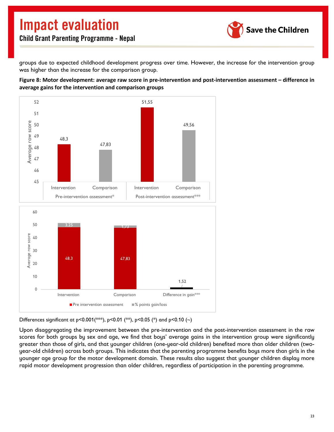

groups due to expected childhood development progress over time. However, the increase for the intervention group was higher than the increase for the comparison group.

<span id="page-24-0"></span>**Figure 8: Motor development: average raw score in pre-intervention and post-intervention assessment – difference in average gains for the intervention and comparison groups**



Differences significant at p<0.001(\*\*\*), p<0.01 (\*\*), p<0.05 (\*) and p<0.10 (~)

Upon disaggregating the improvement between the pre-intervention and the post-intervention assessment in the raw scores for both groups by sex and age, we find that boys' average gains in the intervention group were significantly greater than those of girls, and that younger children (one-year-old children) benefited more than older children (twoyear-old children) across both groups. This indicates that the parenting programme benefits boys more than girls in the younger age group for the motor development domain. These results also suggest that younger children display more rapid motor development progression than older children, regardless of participation in the parenting programme.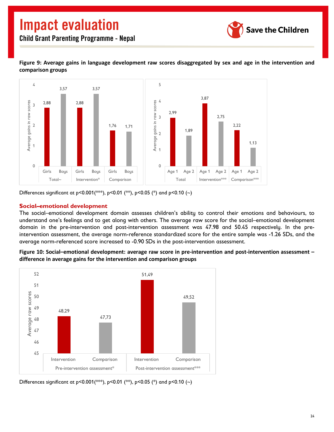

#### <span id="page-25-0"></span>**Figure 9: Average gains in language development raw scores disaggregated by sex and age in the intervention and comparison groups**



Differences significant at  $p < 0.001$  (\*\*),  $p < 0.01$  (\*\*),  $p < 0.05$  (\*) and  $p < 0.10$  (~)

#### **Social–emotional development**

The social–emotional development domain assesses children's ability to control their emotions and behaviours, to understand one's feelings and to get along with others. The average raw score for the social–emotional development domain in the pre-intervention and post-intervention assessment was 47.98 and 50.45 respectively. In the preintervention assessment, the average norm-reference standardized score for the entire sample was -1.26 SDs, and the average norm-referenced score increased to -0.90 SDs in the post-intervention assessment.

<span id="page-25-1"></span>**Figure 10: Social–emotional development: average raw score in pre-intervention and post-intervention assessment – difference in average gains for the intervention and comparison groups**

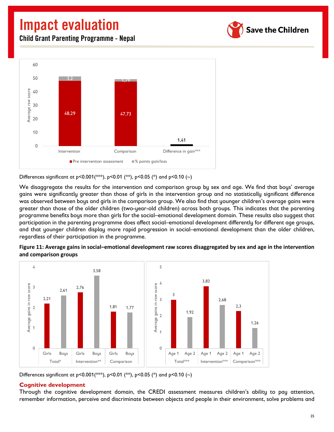**Save the Children** 

Child Grant Parenting Programme - Nepal



Differences significant at p<0.001(\*\*\*), p<0.01 (\*\*), p<0.05 (\*) and p<0.10 (~)

We disaggregate the results for the intervention and comparison group by sex and age. We find that boys' average gains were significantly greater than those of girls in the intervention group and no statistically significant difference was observed between boys and girls in the comparison group. We also find that younger children's average gains were greater than those of the older children (two-year-old children) across both groups. This indicates that the parenting programme benefits boys more than girls for the social–emotional development domain. These results also suggest that participation in the parenting programme does affect social–emotional development differently for different age groups, and that younger children display more rapid progression in social–emotional development than the older children, regardless of their participation in the programme.

<span id="page-26-0"></span>



Differences significant at p<0.001(\*\*\*), p<0.01 (\*\*), p<0.05 (\*) and p<0.10 (~)

#### **Cognitive development**

Through the cognitive development domain, the CREDI assessment measures children's ability to pay attention, remember information, perceive and discriminate between objects and people in their environment, solve problems and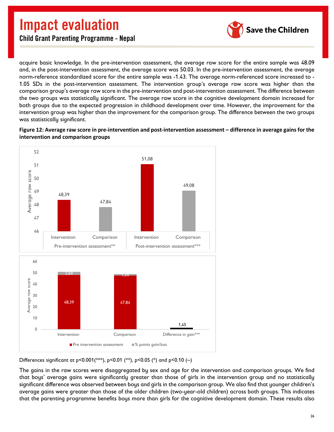![](_page_27_Picture_1.jpeg)

Child Grant Parenting Programme - Nepal

acquire basic knowledge. In the pre-intervention assessment, the average raw score for the entire sample was 48.09 and, in the post-intervention assessment, the average score was 50.03. In the pre-intervention assessment, the average norm-reference standardized score for the entire sample was -1.43. The average norm-referenced score increased to - 1.05 SDs in the post-intervention assessment. The intervention group's average raw score was higher than the comparison group's average raw score in the pre-intervention and post-intervention assessment. The difference between the two groups was statistically significant. The average raw score in the cognitive development domain increased for both groups due to the expected progression in childhood development over time. However, the improvement for the intervention group was higher than the improvement for the comparison group. The difference between the two groups was statistically significant.

<span id="page-27-0"></span>**Figure 12: Average raw score in pre-intervention and post-intervention assessment – difference in average gains for the intervention and comparison groups**

![](_page_27_Figure_5.jpeg)

Differences significant at p<0.001(\*\*\*), p<0.01 (\*\*), p<0.05 (\*) and p<0.10 (~)

The gains in the raw scores were disaggregated by sex and age for the intervention and comparison groups. We find that boys' average gains were significantly greater than those of girls in the intervention group and no statistically significant difference was observed between boys and girls in the comparison group. We also find that younger children's average gains were greater than those of the older children (two-year-old children) across both groups. This indicates that the parenting programme benefits boys more than girls for the cognitive development domain. These results also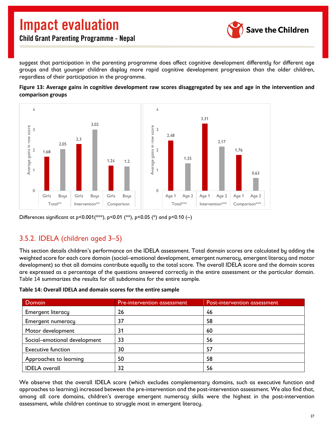![](_page_28_Picture_1.jpeg)

suggest that participation in the parenting programme does affect cognitive development differently for different age groups and that younger children display more rapid cognitive development progression than the older children, regardless of their participation in the programme.

<span id="page-28-2"></span>![](_page_28_Figure_4.jpeg)

![](_page_28_Figure_5.jpeg)

Differences significant at p<0.001(\*\*), p<0.01 (\*\*), p<0.05 (\*) and p<0.10 (~)

## <span id="page-28-0"></span>3.5.2. IDELA (children aged 3–5)

This section details children's performance on the IDELA assessment. Total domain scores are calculated by adding the weighted score for each core domain (social–emotional development, emergent numeracy, emergent literacy and motor development) so that all domains contribute equally to the total score. The overall IDELA score and the domain scores are expressed as a percentage of the questions answered correctly in the entire assessment or the particular domain. [Table 14](#page-28-1) summarizes the results for all subdomains for the entire sample.

<span id="page-28-1"></span>

| Table 14: Overall IDELA and domain scores for the entire sample |  |  |  |
|-----------------------------------------------------------------|--|--|--|
|-----------------------------------------------------------------|--|--|--|

| <b>Domain</b>                | <b>Pre-intervention assessment</b> | Post-intervention assessment |
|------------------------------|------------------------------------|------------------------------|
| <b>Emergent literacy</b>     | 26                                 | 46                           |
| <b>Emergent numeracy</b>     | 37                                 | 58                           |
| Motor development            | 31                                 | 60                           |
| Social-emotional development | 33                                 | 56                           |
| <b>Executive function</b>    | 30                                 | 57                           |
| Approaches to learning       | 50                                 | 58                           |
| <b>IDELA</b> overall         | 32                                 | 56                           |

We observe that the overall IDELA score (which excludes complementary domains, such as executive function and approaches to learning) increased between the pre-intervention and the post-intervention assessment. We also find that, among all core domains, children's average emergent numeracy skills were the highest in the post-intervention assessment, while children continue to struggle most in emergent literacy.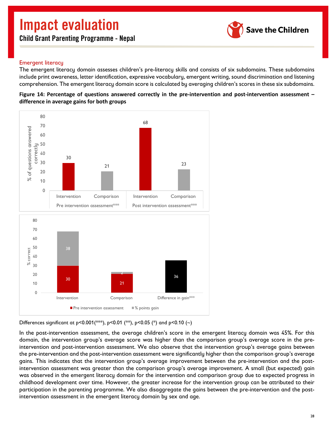Child Grant Parenting Programme - Nepal

![](_page_29_Picture_2.jpeg)

#### Emergent literacy

The emergent literacy domain assesses children's pre-literacy skills and consists of six subdomains. These subdomains include print awareness, letter identification, expressive vocabulary, emergent writing, sound discrimination and listening comprehension. The emergent literacy domain score is calculated by averaging children's scores in these six subdomains.

<span id="page-29-0"></span>![](_page_29_Figure_5.jpeg)

![](_page_29_Figure_6.jpeg)

Differences significant at p<0.001(\*\*\*), p<0.01 (\*\*), p<0.05 (\*) and p<0.10 (~)

In the post-intervention assessment, the average children's score in the emergent literacy domain was 45%. For this domain, the intervention group's average score was higher than the comparison group's average score in the preintervention and post-intervention assessment. We also observe that the intervention group's average gains between the pre-intervention and the post-intervention assessment were significantly higher than the comparison group's average gains. This indicates that the intervention group's average improvement between the pre-intervention and the postintervention assessment was greater than the comparison group's average improvement. A small (but expected) gain was observed in the emergent literacy domain for the intervention and comparison group due to expected progress in childhood development over time. However, the greater increase for the intervention group can be attributed to their participation in the parenting programme. We also disaggregate the gains between the pre-intervention and the postintervention assessment in the emergent literacy domain by sex and age.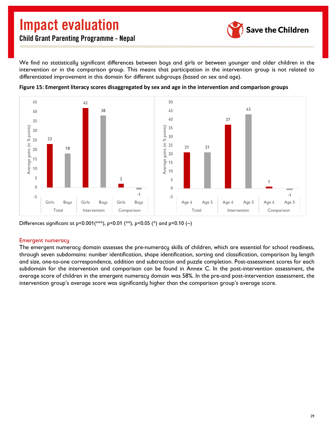![](_page_30_Picture_1.jpeg)

Child Grant Parenting Programme - Nepal

We find no statistically significant differences between boys and girls or between younger and older children in the intervention or in the comparison group. This means that participation in the intervention group is not related to differentiated improvement in this domain for different subgroups (based on sex and age).

![](_page_30_Figure_4.jpeg)

<span id="page-30-0"></span>![](_page_30_Figure_5.jpeg)

Differences significant at p<0.001(\*\*\*), p<0.01 (\*\*), p<0.05 (\*) and p<0.10 (~)

#### Emergent numeracy

The emergent numeracy domain assesses the pre-numeracy skills of children, which are essential for school readiness, through seven subdomains: number identification, shape identification, sorting and classification, comparison by length and size, one-to-one correspondence, addition and subtraction and puzzle completion. Post-assessment scores for each subdomain for the intervention and comparison can be found in Annex C. In the post-intervention assessment, the average score of children in the emergent numeracy domain was 58%. In the pre-and post-intervention assessment, the intervention group's average score was significantly higher than the comparison group's average score.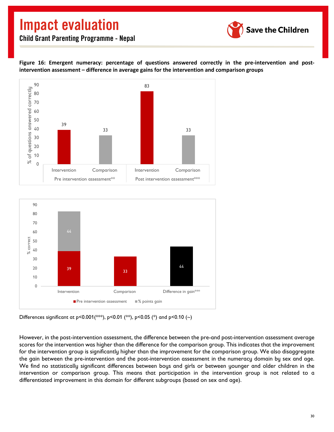![](_page_31_Picture_1.jpeg)

<span id="page-31-0"></span>**Figure 16: Emergent numeracy: percentage of questions answered correctly in the pre-intervention and postintervention assessment – difference in average gains for the intervention and comparison groups**

![](_page_31_Figure_4.jpeg)

![](_page_31_Figure_5.jpeg)

Differences significant at p<0.001(\*\*\*), p<0.01 (\*\*), p<0.05 (\*) and p<0.10 (~)

However, in the post-intervention assessment, the difference between the pre-and post-intervention assessment average scores for the intervention was higher than the difference for the comparison group. This indicates that the improvement for the intervention group is significantly higher than the improvement for the comparison group. We also disaggregate the gain between the pre-intervention and the post-intervention assessment in the numeracy domain by sex and age. We find no statistically significant differences between boys and girls or between younger and older children in the intervention or comparison group. This means that participation in the intervention group is not related to a differentiated improvement in this domain for different subgroups (based on sex and age).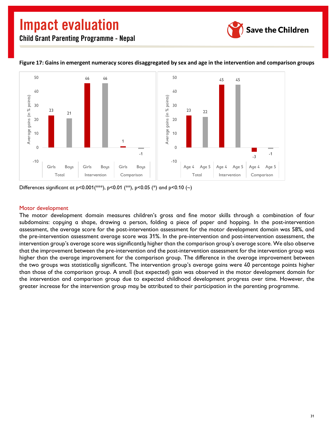![](_page_32_Picture_1.jpeg)

![](_page_32_Figure_3.jpeg)

#### <span id="page-32-0"></span>**Figure 17: Gains in emergent numeracy scores disaggregated by sex and age in the intervention and comparison groups**

Differences significant at p<0.001(\*\*\*), p<0.01 (\*\*), p<0.05 (\*) and p<0.10 (~)

#### Motor development

The motor development domain measures children's gross and fine motor skills through a combination of four subdomains: copying a shape, drawing a person, folding a piece of paper and hopping. In the post-intervention assessment, the average score for the post-intervention assessment for the motor development domain was 58%, and the pre-intervention assessment average score was 31%. In the pre-intervention and post-intervention assessment, the intervention group's average score was significantly higher than the comparison group's average score. We also observe that the improvement between the pre-intervention and the post-intervention assessment for the intervention group was higher than the average improvement for the comparison group. The difference in the average improvement between the two groups was statistically significant. The intervention group's average gains were 40 percentage points higher than those of the comparison group. A small (but expected) gain was observed in the motor development domain for the intervention and comparison group due to expected childhood development progress over time. However, the greater increase for the intervention group may be attributed to their participation in the parenting programme.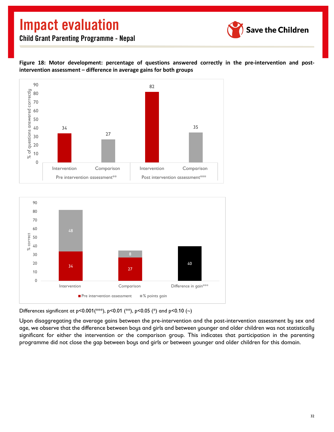![](_page_33_Picture_1.jpeg)

<span id="page-33-0"></span>**Figure 18: Motor development: percentage of questions answered correctly in the pre-intervention and postintervention assessment – difference in average gains for both groups**

![](_page_33_Figure_4.jpeg)

![](_page_33_Figure_5.jpeg)

Differences significant at p<0.001(\*\*\*), p<0.01 (\*\*), p<0.05 (\*) and p<0.10 (~)

Upon disaggregating the average gains between the pre-intervention and the post-intervention assessment by sex and age, we observe that the difference between boys and girls and between younger and older children was not statistically significant for either the intervention or the comparison group. This indicates that participation in the parenting programme did not close the gap between boys and girls or between younger and older children for this domain.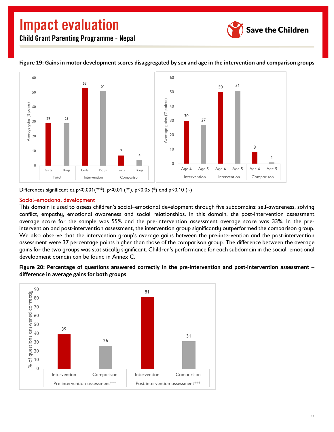![](_page_34_Picture_1.jpeg)

![](_page_34_Figure_3.jpeg)

#### <span id="page-34-0"></span>**Figure 19: Gains in motor development scores disaggregated by sex and age in the intervention and comparison groups**

Differences significant at  $p < 0.001$  (\*\*),  $p < 0.01$  (\*\*),  $p < 0.05$  (\*) and  $p < 0.10$  (~)

#### Social–emotional development

This domain is used to assess children's social–emotional development through five subdomains: self-awareness, solving conflict, empathy, emotional awareness and social relationships. In this domain, the post-intervention assessment average score for the sample was 55% and the pre-intervention assessment average score was 33%. In the preintervention and post-intervention assessment, the intervention group significantly outperformed the comparison group. We also observe that the intervention group's average gains between the pre-intervention and the post-intervention assessment were 37 percentage points higher than those of the comparison group. The difference between the average gains for the two groups was statistically significant. Children's performance for each subdomain in the social–emotional development domain can be found in Annex C.

<span id="page-34-1"></span>**Figure 20: Percentage of questions answered correctly in the pre-intervention and post-intervention assessment – difference in average gains for both groups**

![](_page_34_Figure_9.jpeg)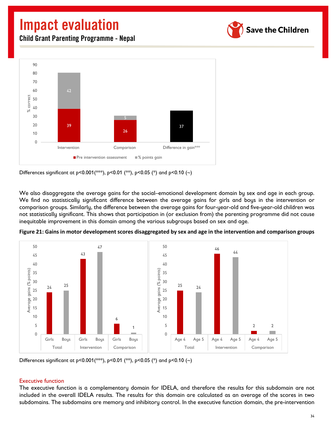![](_page_35_Picture_1.jpeg)

Child Grant Parenting Programme - Nepal

![](_page_35_Figure_3.jpeg)

Differences significant at p<0.001(\*\*\*), p<0.01 (\*\*), p<0.05 (\*) and p<0.10 (~)

We also disaggregate the average gains for the social–emotional development domain by sex and age in each group. We find no statistically significant difference between the average gains for girls and boys in the intervention or comparison groups. Similarly, the difference between the average gains for four-year-old and five-year-old children was not statistically significant. This shows that participation in (or exclusion from) the parenting programme did not cause inequitable improvement in this domain among the various subgroups based on sex and age.

![](_page_35_Figure_6.jpeg)

<span id="page-35-0"></span>**Figure 21: Gains in motor development scores disaggregated by sex and age in the intervention and comparison groups**

Differences significant at p<0.001(\*\*\*), p<0.01 (\*\*), p<0.05 (\*) and p<0.10 (~)

#### Executive function

The executive function is a complementary domain for IDELA, and therefore the results for this subdomain are not included in the overall IDELA results. The results for this domain are calculated as an average of the scores in two subdomains. The subdomains are memory and inhibitory control. In the executive function domain, the pre-intervention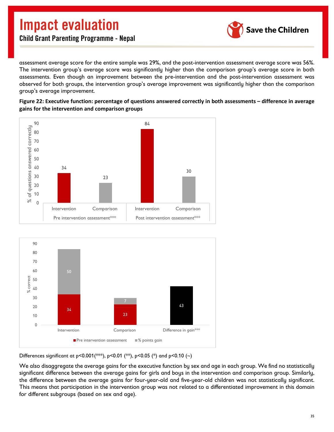![](_page_36_Picture_1.jpeg)

assessment average score for the entire sample was 29%, and the post-intervention assessment average score was 56%. The intervention group's average score was significantly higher than the comparison group's average score in both assessments. Even though an improvement between the pre-intervention and the post-intervention assessment was observed for both groups, the intervention group's average improvement was significantly higher than the comparison group's average improvement.

<span id="page-36-0"></span>**Figure 22: Executive function: percentage of questions answered correctly in both assessments – difference in average** 

![](_page_36_Figure_4.jpeg)

![](_page_36_Figure_5.jpeg)

![](_page_36_Figure_6.jpeg)

Differences significant at p<0.001(\*\*\*), p<0.01 (\*\*), p<0.05 (\*) and p<0.10 (~)

We also disaggregate the average gains for the executive function by sex and age in each group. We find no statistically significant difference between the average gains for girls and boys in the intervention and comparison group. Similarly, the difference between the average gains for four-year-old and five-year-old children was not statistically significant. This means that participation in the intervention group was not related to a differentiated improvement in this domain for different subgroups (based on sex and age).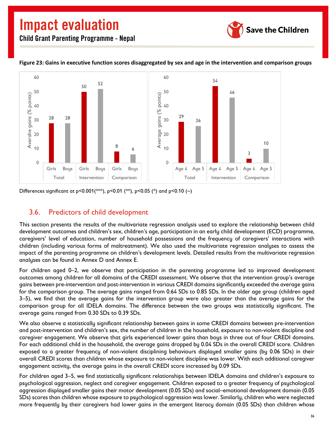![](_page_37_Picture_1.jpeg)

![](_page_37_Figure_3.jpeg)

#### <span id="page-37-1"></span>**Figure 23: Gains in executive function scores disaggregated by sex and age in the intervention and comparison groups**

Differences significant at p<0.001(\*\*\*), p<0.01 (\*\*), p<0.05 (\*) and p<0.10 (~)

### <span id="page-37-0"></span>3.6. Predictors of child development

This section presents the results of the multivariate regression analysis used to explore the relationship between child development outcomes and children's sex, children's age, participation in an early child development (ECD) programme, caregivers' level of education, number of household possessions and the frequency of caregivers' interactions with children (including various forms of maltreatment). We also used the multivariate regression analyses to assess the impact of the parenting programme on children's development levels. Detailed results from the multivariate regression analyses can be found in Annex D and Annex E.

For children aged 0–2, we observe that participation in the parenting programme led to improved development outcomes among children for all domains of the CREDI assessment. We observe that the intervention group's average gains between pre-intervention and post-intervention in various CREDI domains significantly exceeded the average gains for the comparison group. The average gains ranged from 0.64 SDs to 0.85 SDs. In the older age group (children aged 3–5), we find that the average gains for the intervention group were also greater than the average gains for the comparison group for all IDELA domains. The difference between the two groups was statistically significant. The average gains ranged from 0.30 SDs to 0.39 SDs.

We also observe a statistically significant relationship between gains in some CREDI domains between pre-intervention and post-intervention and children's sex, the number of children in the household, exposure to non-violent discipline and caregiver engagement. We observe that girls experienced lower gains than boys in three out of four CREDI domains. For each additional child in the household, the average gains dropped by 0.04 SDs in the overall CREDI score. Children exposed to a greater frequency of non-violent disciplining behaviours displayed smaller gains (by 0.06 SDs) in their overall CREDI scores than children whose exposure to non-violent discipline was lower. With each additional caregiver engagement activity, the average gains in the overall CREDI score increased by 0.09 SDs.

For children aged 3–5, we find statistically significant relationships between IDELA domains and children's exposure to psychological aggression, neglect and caregiver engagement. Children exposed to a greater frequency of psychological aggression displayed smaller gains their motor development (0.05 SDs) and social–emotional development domain (0.05 SDs) scores than children whose exposure to psychological aggression was lower. Similarly, children who were neglected more frequently by their caregivers had lower gains in the emergent literacy domain (0.05 SDs) than children whose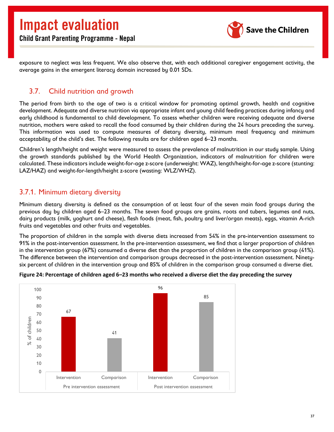![](_page_38_Picture_1.jpeg)

exposure to neglect was less frequent. We also observe that, with each additional caregiver engagement activity, the average gains in the emergent literacy domain increased by 0.01 SDs.

## <span id="page-38-0"></span>3.7. Child nutrition and growth

The period from birth to the age of two is a critical window for promoting optimal growth, health and cognitive development. Adequate and diverse nutrition via appropriate infant and young child feeding practices during infancy and early childhood is fundamental to child development. To assess whether children were receiving adequate and diverse nutrition, mothers were asked to recall the food consumed by their children during the 24 hours preceding the survey. This information was used to compute measures of dietary diversity, minimum meal frequency and minimum acceptability of the child's diet. The following results are for children aged 6–23 months.

Children's length/height and weight were measured to assess the prevalence of malnutrition in our study sample. Using the growth standards published by the World Health Organization, indicators of malnutrition for children were calculated. These indicators include weight-for-age z-score (underweight: WAZ), length/height-for-age z-score (stunting: LAZ/HAZ) and weight-for-length/height z-score (wasting: WLZ/WHZ).

### <span id="page-38-1"></span>3.7.1. Minimum dietary diversity

Minimum dietary diversity is defined as the consumption of at least four of the seven main food groups during the previous day by children aged 6–23 months. The seven food groups are grains, roots and tubers, legumes and nuts, dairy products (milk, yoghurt and cheese), flesh foods (meat, fish, poultry and liver/organ meats), eggs, vitamin A-rich fruits and vegetables and other fruits and vegetables.

The proportion of children in the sample with diverse diets increased from 54% in the pre-intervention assessment to 91% in the post-intervention assessment. In the pre-intervention assessment, we find that a larger proportion of children in the intervention group (67%) consumed a diverse diet than the proportion of children in the comparison group (41%). The difference between the intervention and comparison groups decreased in the post-intervention assessment. Ninetysix percent of children in the intervention group and 85% of children in the comparison group consumed a diverse diet.

![](_page_38_Figure_9.jpeg)

#### <span id="page-38-2"></span>**Figure 24: Percentage of children aged 6–23 months who received a diverse diet the day preceding the survey**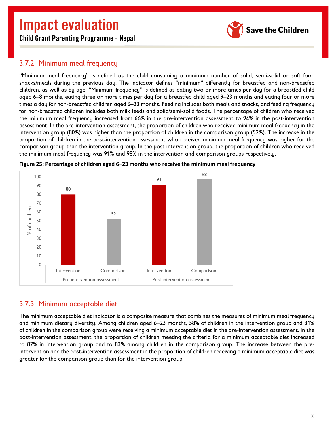![](_page_39_Picture_1.jpeg)

## Child Grant Parenting Programme - Nepal

### <span id="page-39-0"></span>3.7.2. Minimum meal frequency

"Minimum meal frequency" is defined as the child consuming a minimum number of solid, semi-solid or soft food snacks/meals during the previous day. The indicator defines "minimum" differently for breastfed and non-breastfed children, as well as by age. "Minimum frequency" is defined as eating two or more times per day for a breastfed child aged 6–8 months, eating three or more times per day for a breastfed child aged 9–23 months and eating four or more times a day for non-breastfed children aged 6–23 months. Feeding includes both meals and snacks, and feeding frequency for non-breastfed children includes both milk feeds and solid/semi-solid foods. The percentage of children who received the minimum meal frequency increased from 66% in the pre-intervention assessment to 94% in the post-intervention assessment. In the pre-intervention assessment, the proportion of children who received minimum meal frequency in the intervention group (80%) was higher than the proportion of children in the comparison group (52%). The increase in the proportion of children in the post-intervention assessment who received minimum meal frequency was higher for the comparison group than the intervention group. In the post-intervention group, the proportion of children who received the minimum meal frequency was 91% and 98% in the intervention and comparison groups respectively.

![](_page_39_Figure_5.jpeg)

<span id="page-39-2"></span>**Figure 25: Percentage of children aged 6–23 months who receive the minimum meal frequency**

### <span id="page-39-1"></span>3.7.3. Minimum acceptable diet

The minimum acceptable diet indicator is a composite measure that combines the measures of minimum meal frequency and minimum dietary diversity. Among children aged 6–23 months, 58% of children in the intervention group and 31% of children in the comparison group were receiving a minimum acceptable diet in the pre-intervention assessment. In the post-intervention assessment, the proportion of children meeting the criteria for a minimum acceptable diet increased to 87% in intervention group and to 83% among children in the comparison group. The increase between the preintervention and the post-intervention assessment in the proportion of children receiving a minimum acceptable diet was greater for the comparison group than for the intervention group.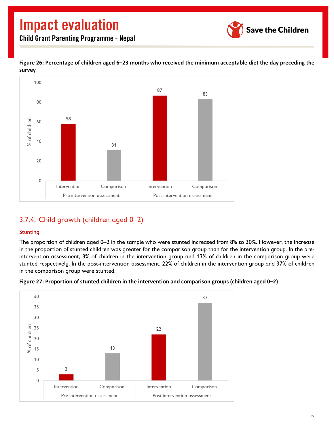![](_page_40_Picture_1.jpeg)

Child Grant Parenting Programme - Nepal

<span id="page-40-1"></span>![](_page_40_Figure_3.jpeg)

![](_page_40_Figure_4.jpeg)

## <span id="page-40-0"></span>3.7.4. Child growth (children aged 0–2)

#### **Stunting**

The proportion of children aged 0–2 in the sample who were stunted increased from 8% to 30%. However, the increase in the proportion of stunted children was greater for the comparison group than for the intervention group. In the preintervention assessment, 3% of children in the intervention group and 13% of children in the comparison group were stunted respectively. In the post-intervention assessment, 22% of children in the intervention group and 37% of children in the comparison group were stunted.

![](_page_40_Figure_8.jpeg)

<span id="page-40-2"></span>**Figure 27: Proportion of stunted children in the intervention and comparison groups (children aged 0–2)**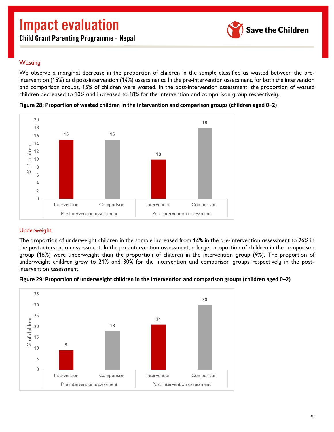Child Grant Parenting Programme - Nepal

![](_page_41_Picture_2.jpeg)

#### **Wasting**

We observe a marginal decrease in the proportion of children in the sample classified as wasted between the preintervention (15%) and post-intervention (14%) assessments. In the pre-intervention assessment, for both the intervention and comparison groups, 15% of children were wasted. In the post-intervention assessment, the proportion of wasted children decreased to 10% and increased to 18% for the intervention and comparison group respectively.

![](_page_41_Figure_5.jpeg)

<span id="page-41-0"></span>**Figure 28: Proportion of wasted children in the intervention and comparison groups (children aged 0–2)**

#### Underweight

The proportion of underweight children in the sample increased from 14% in the pre-intervention assessment to 26% in the post-intervention assessment. In the pre-intervention assessment, a larger proportion of children in the comparison group (18%) were underweight than the proportion of children in the intervention group (9%). The proportion of underweight children grew to 21% and 30% for the intervention and comparison groups respectively in the postintervention assessment.

![](_page_41_Figure_9.jpeg)

<span id="page-41-1"></span>**Figure 29: Proportion of underweight children in the intervention and comparison groups (children aged 0–2)**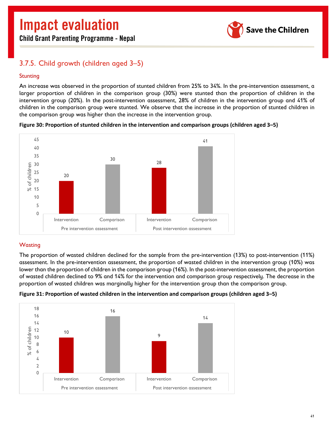**Save the Children** 

Child Grant Parenting Programme - Nepal

## <span id="page-42-0"></span>3.7.5. Child growth (children aged 3–5)

#### **Stunting**

An increase was observed in the proportion of stunted children from 25% to 34%. In the pre-intervention assessment, a larger proportion of children in the comparison group (30%) were stunted than the proportion of children in the intervention group (20%). In the post-intervention assessment, 28% of children in the intervention group and 41% of children in the comparison group were stunted. We observe that the increase in the proportion of stunted children in the comparison group was higher than the increase in the intervention group.

![](_page_42_Figure_6.jpeg)

<span id="page-42-1"></span>**Figure 30: Proportion of stunted children in the intervention and comparison groups (children aged 3–5)**

#### **Wasting**

The proportion of wasted children declined for the sample from the pre-intervention (13%) to post-intervention (11%) assessment. In the pre-intervention assessment, the proportion of wasted children in the intervention group (10%) was lower than the proportion of children in the comparison group (16%). In the post-intervention assessment, the proportion of wasted children declined to 9% and 14% for the intervention and comparison group respectively. The decrease in the proportion of wasted children was marginally higher for the intervention group than the comparison group.

![](_page_42_Figure_10.jpeg)

<span id="page-42-2"></span>![](_page_42_Figure_11.jpeg)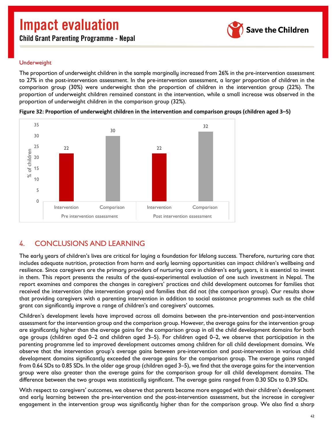Child Grant Parenting Programme - Nepal

![](_page_43_Picture_2.jpeg)

#### Underweight

The proportion of underweight children in the sample marginally increased from 26% in the pre-intervention assessment to 27% in the post-intervention assessment. In the pre-intervention assessment, a larger proportion of children in the comparison group (30%) were underweight than the proportion of children in the intervention group (22%). The proportion of underweight children remained constant in the intervention, while a small increase was observed in the proportion of underweight children in the comparison group (32%).

![](_page_43_Figure_5.jpeg)

<span id="page-43-1"></span>**Figure 32: Proportion of underweight children in the intervention and comparison groups (children aged 3–5)**

## <span id="page-43-0"></span>4. CONCLUSIONS AND LEARNING

The early years of children's lives are critical for laying a foundation for lifelong success. Therefore, nurturing care that includes adequate nutrition, protection from harm and early learning opportunities can impact children's wellbeing and resilience. Since caregivers are the primary providers of nurturing care in children's early years, it is essential to invest in them. This report presents the results of the quasi-experimental evaluation of one such investment in Nepal. The report examines and compares the changes in caregivers' practices and child development outcomes for families that received the intervention (the intervention group) and families that did not (the comparison group). Our results show that providing caregivers with a parenting intervention in addition to social assistance programmes such as the child grant can significantly improve a range of children's and caregivers' outcomes.

Children's development levels have improved across all domains between the pre-intervention and post-intervention assessment for the intervention group and the comparison group. However, the average gains for the intervention group are significantly higher than the average gains for the comparison group in all the child development domains for both age groups (children aged 0–2 and children aged 3–5). For children aged 0–2, we observe that participation in the parenting programme led to improved development outcomes among children for all child development domains. We observe that the intervention group's average gains between pre-intervention and post-intervention in various child development domains significantly exceeded the average gains for the comparison group. The average gains ranged from 0.64 SDs to 0.85 SDs. In the older age group (children aged 3–5), we find that the average gains for the intervention group were also greater than the average gains for the comparison group for all child development domains. The difference between the two groups was statistically significant. The average gains ranged from 0.30 SDs to 0.39 SDs.

With respect to caregivers' outcomes, we observe that parents became more engaged with their children's development and early learning between the pre-intervention and the post-intervention assessment, but the increase in caregiver engagement in the intervention group was significantly higher than for the comparison group. We also find a sharp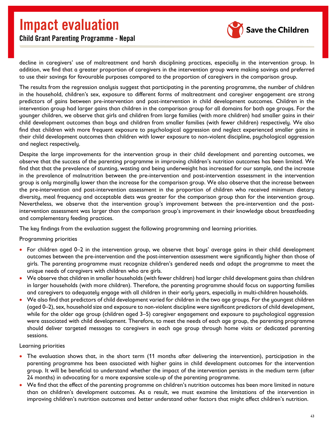![](_page_44_Picture_1.jpeg)

## Child Grant Parenting Programme - Nepal

decline in caregivers' use of maltreatment and harsh disciplining practices, especially in the intervention group. In addition, we find that a greater proportion of caregivers in the intervention group were making savings and preferred to use their savings for favourable purposes compared to the proportion of caregivers in the comparison group.

The results from the regression analysis suggest that participating in the parenting programme, the number of children in the household, children's sex, exposure to different forms of maltreatment and caregiver engagement are strong predictors of gains between pre-intervention and post-intervention in child development outcomes. Children in the intervention group had larger gains than children in the comparison group for all domains for both age groups. For the younger children, we observe that girls and children from large families (with more children) had smaller gains in their child development outcomes than boys and children from smaller families (with fewer children) respectively. We also find that children with more frequent exposure to psychological aggression and neglect experienced smaller gains in their child development outcomes than children with lower exposure to non-violent discipline, psychological aggression and neglect respectively.

Despite the large improvements for the intervention group in their child development and parenting outcomes, we observe that the success of the parenting programme in improving children's nutrition outcomes has been limited. We find that that the prevalence of stunting, wasting and being underweight has increased for our sample, and the increase in the prevalence of malnutrition between the pre-intervention and post-intervention assessment in the intervention group is only marginally lower than the increase for the comparison group. We also observe that the increase between the pre-intervention and post-intervention assessment in the proportion of children who received minimum dietary diversity, meal frequency and acceptable diets was greater for the comparison group than for the intervention group. Nevertheless, we observe that the intervention group's improvement between the pre-intervention and the postintervention assessment was larger than the comparison group's improvement in their knowledge about breastfeeding and complementary feeding practices.

The key findings from the evaluation suggest the following programming and learning priorities.

#### Programming priorities

- For children aged 0–2 in the intervention group, we observe that boys' average gains in their child development outcomes between the pre-intervention and the post-intervention assessment were significantly higher than those of girls. The parenting programme must recognize children's gendered needs and adapt the programme to meet the unique needs of caregivers with children who are girls.
- We observe that children in smaller households (with fewer children) had larger child development gains than children in larger households (with more children). Therefore, the parenting programme should focus on supporting families and caregivers to adequately engage with all children in their early years, especially in multi-children households.
- We also find that predictors of child development varied for children in the two age groups. For the youngest children (aged 0–2), sex, household size and exposure to non-violent discipline were significant predictors of child development, while for the older age group (children aged 3–5) caregiver engagement and exposure to psychological aggression were associated with child development. Therefore, to meet the needs of each age group, the parenting programme should deliver targeted messages to caregivers in each age group through home visits or dedicated parenting sessions.

#### Learning priorities

- The evaluation shows that, in the short term (11 months after delivering the intervention), participation in the parenting programme has been associated with higher gains in child development outcomes for the intervention group. It will be beneficial to understand whether the impact of the intervention persists in the medium term (after 24 months) in advocating for a more expansive scale-up of the parenting programme.
- We find that the effect of the parenting programme on children's nutrition outcomes has been more limited in nature than on children's development outcomes. As a result, we must examine the limitations of the intervention in improving children's nutrition outcomes and better understand other factors that might affect children's nutrition.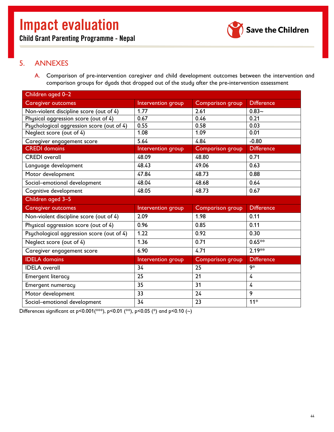![](_page_45_Picture_2.jpeg)

## <span id="page-45-1"></span><span id="page-45-0"></span>5. ANNEXES

A. Comparison of pre-intervention caregiver and child development outcomes between the intervention and comparison groups for dyads that dropped out of the study after the pre-intervention assessment

| Children aged 0-2                         |                    |                         |                   |
|-------------------------------------------|--------------------|-------------------------|-------------------|
| <b>Caregiver outcomes</b>                 | Intervention group | <b>Comparison group</b> | <b>Difference</b> |
| Non-violent discipline score (out of 4)   | 1.77               | 2.61                    | $0.83 -$          |
| Physical aggression score (out of 4)      | 0.67               | 0.46                    | 0.21              |
| Psychological aggression score (out of 4) | 0.55               | 0.58                    | 0.03              |
| Neglect score (out of 4)                  | 1.08               | 1.09                    | 0.01              |
| Caregiver engagement score                | 5.64               | 4.84                    | $-0.80$           |
| <b>CREDI</b> domains                      | Intervention group | Comparison group        | <b>Difference</b> |
| <b>CREDI</b> overall                      | 48.09              | 48.80                   | 0.71              |
| Language development                      | 48.43              | 49.06                   | 0.63              |
| Motor development                         | 47.84              | 48.73                   | 0.88              |
| Social-emotional development              | 48.04              | 48.68                   | 0.64              |
| Cognitive development                     | 48.05              | 48.73                   | 0.67              |
| Children aged 3-5                         |                    |                         |                   |
| <b>Caregiver outcomes</b>                 | Intervention group | <b>Comparison group</b> | <b>Difference</b> |
| Non-violent discipline score (out of 4)   | 2.09               | 1.98                    | 0.11              |
| Physical aggression score (out of 4)      | 0.96               | 0.85                    | 0.11              |
| Psychological aggression score (out of 4) | 1.22               | 0.92                    | 0.30              |
| Neglect score (out of 4)                  | 1.36               | 0.71                    | $0.65**$          |
| Caregiver engagement score                | 6.90               | 4.71                    | $2.19**$          |
| <b>IDELA</b> domains                      | Intervention group | <b>Comparison group</b> | <b>Difference</b> |
| <b>IDELA</b> overall                      | 34                 | 25                      | $\overline{9^*}$  |
| <b>Emergent literacy</b>                  | 25                 | 21                      | 4                 |
| <b>Emergent numeracy</b>                  | 35                 | 31                      | $\overline{4}$    |
| Motor development                         | 33                 | 24                      | 9                 |
| Social-emotional development              | 34                 | 23                      | $11*$             |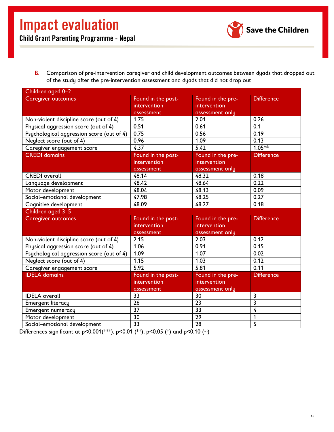![](_page_46_Picture_1.jpeg)

<span id="page-46-0"></span>B. Comparison of pre-intervention caregiver and child development outcomes between dyads that dropped out of the study after the pre-intervention assessment and dyads that did not drop out

| Children aged 0-2                         |                    |                   |                   |
|-------------------------------------------|--------------------|-------------------|-------------------|
| <b>Caregiver outcomes</b>                 | Found in the post- | Found in the pre- | <b>Difference</b> |
|                                           | intervention       | intervention      |                   |
|                                           | assessment         | assessment only   |                   |
| Non-violent discipline score (out of 4)   | 1.75               | 2.01              | 0.26              |
| Physical aggression score (out of 4)      | 0.51               | 0.61              | 0.1               |
| Psychological aggression score (out of 4) | 0.75               | 0.56              | 0.19              |
| Neglect score (out of 4)                  | 0.96               | 1.09              | 0.13              |
| Caregiver engagement score                | 4.37               | 5.42              | $1.05***$         |
| <b>CREDI</b> domains                      | Found in the post- | Found in the pre- | <b>Difference</b> |
|                                           | intervention       | intervention      |                   |
|                                           | assessment         | assessment only   |                   |
| <b>CREDI</b> overall                      | 48.14              | 48.32             | 0.18              |
| Language development                      | 48.42              | 48.64             | 0.22              |
| Motor development                         | 48.04              | 48.13             | 0.09              |
| Social-emotional development              | 47.98              | 48.25             | 0.27              |
| Cognitive development                     | 48.09              | 48.27             | 0.18              |
| Children aged 3-5                         |                    |                   |                   |
| <b>Caregiver outcomes</b>                 | Found in the post- | Found in the pre- | <b>Difference</b> |
|                                           | intervention       | intervention      |                   |
|                                           | assessment         | assessment only   |                   |
| Non-violent discipline score (out of 4)   | 2.15               | 2.03              | 0.12              |
| Physical aggression score (out of 4)      | 1.06               | 0.91              | 0.15              |
| Psychological aggression score (out of 4) | 1.09               | 1.07              | 0.02              |
| Neglect score (out of 4)                  | 1.15               | 1.03              | 0.12              |
| Caregiver engagement score                | 5.92               | 5.81              | 0.11              |
| <b>IDELA</b> domains                      | Found in the post- | Found in the pre- | <b>Difference</b> |
|                                           | intervention       | intervention      |                   |
|                                           | assessment         | assessment only   |                   |
| <b>IDELA</b> overall                      | 33                 | 30                | 3                 |
| <b>Emergent literacy</b>                  | 26                 | $\overline{23}$   | 3                 |
| Emergent numeracy                         | 37                 | 33                | $\overline{4}$    |
| Motor development                         | 30                 | $\overline{29}$   | 1                 |
| Social-emotional development              | $\overline{33}$    | $\overline{28}$   | $\overline{5}$    |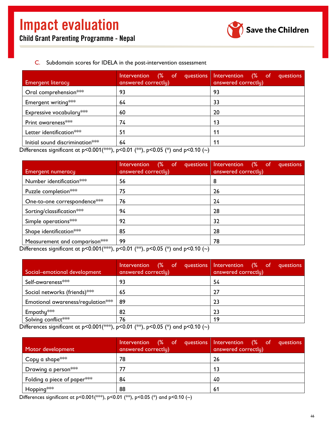![](_page_47_Picture_1.jpeg)

#### C. Subdomain scores for IDELA in the post-intervention assessment

<span id="page-47-0"></span>

| <b>Emergent literacy</b>        | (% of questions Intervention<br><b>Intervention</b><br>answered correctly) | $(\% \quad \text{of} \quad$<br>questions<br>answered correctly) |
|---------------------------------|----------------------------------------------------------------------------|-----------------------------------------------------------------|
| Oral comprehension***           | 93                                                                         | 93                                                              |
| Emergent writing***             | 64                                                                         | 33                                                              |
| Expressive vocabulary***        | 60                                                                         | 20                                                              |
| Print awareness***              | 74                                                                         | 13                                                              |
| Letter identification***        | 51                                                                         | 11                                                              |
| Initial sound discrimination*** | 64<br>.                                                                    | 11                                                              |

Differences significant at p<0.001(\*\*), p<0.01 (\*\*), p<0.05 (\*) and p<0.10 (~)

|                                                                                                                                                  | Intervention (% of questions                                                        | Intervention (% of<br>questions |
|--------------------------------------------------------------------------------------------------------------------------------------------------|-------------------------------------------------------------------------------------|---------------------------------|
| <b>Emergent numeracy</b>                                                                                                                         | answered correctly)                                                                 | answered correctly)             |
| Number identification***                                                                                                                         | 56                                                                                  | 8                               |
| Puzzle completion***                                                                                                                             | 75                                                                                  | 26                              |
| One-to-one correspondence***                                                                                                                     | 76                                                                                  | 24                              |
| Sorting/classification***                                                                                                                        | 94                                                                                  | 28                              |
| Simple operations***                                                                                                                             | 92                                                                                  | 32                              |
| Shape identification***                                                                                                                          | 85                                                                                  | 28                              |
| Measurement and comparison***<br>the contract of the contract of the contract of the contract of the contract of the contract of the contract of | 99<br>$\mathbf{a}$ $\mathbf{a}$ $\mathbf{a}$ $\mathbf{b}$ $\mathbf{c}$ $\mathbf{d}$ | 78                              |

Differences significant at p<0.001(\*\*), p<0.01 (\*\*), p<0.05 (\*) and p<0.10 (~)

| (% of questions Intervention<br>Intervention<br>answered correctly) | (% of<br>questions<br>answered correctly)                                                                   |
|---------------------------------------------------------------------|-------------------------------------------------------------------------------------------------------------|
| 93                                                                  | 54                                                                                                          |
| 65                                                                  | 27                                                                                                          |
| 89                                                                  | 23                                                                                                          |
| 82                                                                  | 23                                                                                                          |
| 76                                                                  | 19                                                                                                          |
|                                                                     | $\sim$ 0.4 $\sim$<br>$20.05 \times 10^{-1}$<br>$\sim$ 40 $\sim$ $\sim$<br>and the state of the state of the |

Differences significant at p<0.001(\*\*), p<0.01 (\*\*), p<0.05 (\*) and p<0.10 (~)

| Motor development             | answered correctly) | Intervention (% of questions Intervention (% of questions<br>answered correctly) |
|-------------------------------|---------------------|----------------------------------------------------------------------------------|
| Copy a shape $**$             | 78                  | 26                                                                               |
| Drawing a person***           | 77                  | 13                                                                               |
| Folding a piece of paper $**$ | 84                  | 40                                                                               |
| Hopping <sup></sup> ***       | 88                  | -61                                                                              |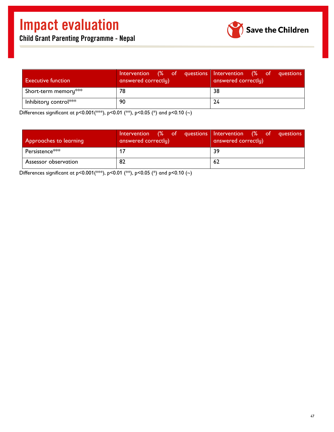| <b>Executive function</b> | answered correctly) | Intervention (% of questions Intervention (% of questions<br>answered correctly) |
|---------------------------|---------------------|----------------------------------------------------------------------------------|
| Short-term memory***      | 78                  | 38                                                                               |
| Inhibitory control***     | 90                  | 24                                                                               |

Differences significant at p<0.001(\*\*\*), p<0.01 (\*\*), p<0.05 (\*) and p<0.10 (~)

| Approaches to learning | answered correctly) | Intervention (% of questions Intervention (% of questions<br>answered correctly) |
|------------------------|---------------------|----------------------------------------------------------------------------------|
| Persistence***         |                     | 39                                                                               |
| Assessor observation   | 82                  | -62                                                                              |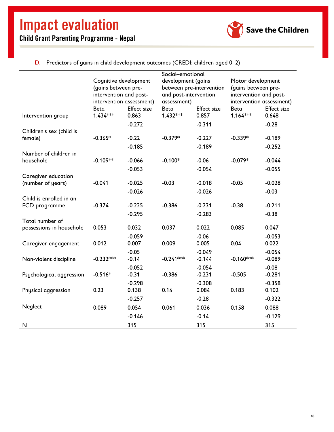![](_page_49_Picture_1.jpeg)

D. Predictors of gains in child development outcomes (CREDI: children aged 0–2)

<span id="page-49-0"></span>

|                          | Social-emotional         |                    |                                                |                    |                                          |                    |
|--------------------------|--------------------------|--------------------|------------------------------------------------|--------------------|------------------------------------------|--------------------|
|                          | Cognitive development    |                    | development (gains<br>between pre-intervention |                    | Motor development<br>(gains between pre- |                    |
|                          | (gains between pre-      |                    |                                                |                    |                                          |                    |
|                          | intervention and post-   |                    | and post-intervention                          |                    | intervention and post-                   |                    |
|                          | intervention assessment) |                    | assessment)                                    |                    | intervention assessment)                 |                    |
|                          | Beta                     | <b>Effect size</b> | Beta                                           | <b>Effect size</b> | Beta                                     | <b>Effect size</b> |
| Intervention group       | $1.434***$               | 0.863              | $1.432***$                                     | 0.857              | $1.164***$                               | 0.648              |
|                          |                          | $-0.272$           |                                                | $-0.311$           |                                          | $-0.28$            |
| Children's sex (child is |                          |                    |                                                |                    |                                          |                    |
| female)                  | $-0.365*$                | $-0.22$            | $-0.379*$                                      | $-0.227$           | $-0.339*$                                | $-0.189$           |
|                          |                          | $-0.185$           |                                                | $-0.189$           |                                          | $-0.252$           |
| Number of children in    |                          |                    |                                                |                    |                                          |                    |
| household                | $-0.109**$               | $-0.066$           | $-0.100*$                                      | $-0.06$            | $-0.079*$                                | $-0.044$           |
|                          |                          | $-0.053$           |                                                | $-0.054$           |                                          | $-0.055$           |
| Caregiver education      |                          |                    |                                                |                    |                                          |                    |
| (number of years)        | $-0.041$                 | $-0.025$           | $-0.03$                                        | $-0.018$           | $-0.05$                                  | $-0.028$           |
|                          |                          | $-0.026$           |                                                | $-0.026$           |                                          | $-0.03$            |
| Child is enrolled in an  |                          |                    |                                                |                    |                                          |                    |
| ECD programme            | $-0.374$                 | $-0.225$           | $-0.386$                                       | $-0.231$           | $-0.38$                                  | $-0.211$           |
|                          |                          | $-0.295$           |                                                | $-0.283$           |                                          | $-0.38$            |
| Total number of          |                          |                    |                                                |                    |                                          |                    |
| possessions in household | 0.053                    | 0.032              | 0.037                                          | 0.022              | 0.085                                    | 0.047              |
|                          |                          | $-0.059$           |                                                | $-0.06$            |                                          | $-0.053$           |
| Caregiver engagement     | 0.012                    | 0.007              | 0.009                                          | 0.005              | 0.04                                     | 0.022              |
|                          |                          | $-0.05$            |                                                | $-0.049$           |                                          | $-0.054$           |
| Non-violent discipline   | $-0.232***$              | $-0.14$            | $-0.241***$                                    | $-0.144$           | $-0.160***$                              | $-0.089$           |
|                          |                          | $-0.052$           |                                                | $-0.054$           |                                          | $-0.08$            |
| Psychological aggression | $-0.516*$                | $-0.31$            | $-0.386$                                       | $-0.231$           | $-0.505$                                 | $-0.281$           |
|                          |                          | $-0.298$           |                                                | $-0.308$           |                                          | $-0.358$           |
| Physical aggression      | 0.23                     | 0.138              | 0.14                                           | 0.084              | 0.183                                    | 0.102              |
|                          |                          | $-0.257$           |                                                | $-0.28$            |                                          | $-0.322$           |
| Neglect                  | 0.089                    | 0.054              | 0.061                                          | 0.036              | 0.158                                    | 0.088              |
|                          |                          | $-0.146$           |                                                | $-0.14$            |                                          | $-0.129$           |
| N                        |                          | 315                |                                                | 315                |                                          | 315                |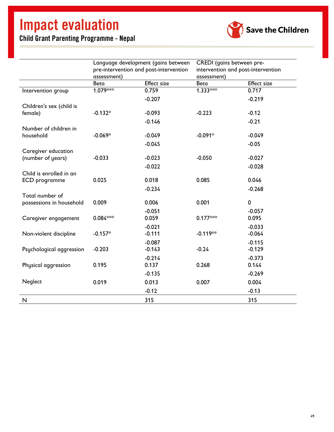![](_page_50_Picture_2.jpeg)

|                          | Language development (gains between<br>pre-intervention and post-intervention |                    | CREDI (gains between pre-<br>intervention and post-intervention |                    |  |
|--------------------------|-------------------------------------------------------------------------------|--------------------|-----------------------------------------------------------------|--------------------|--|
|                          |                                                                               |                    |                                                                 |                    |  |
|                          | assessment)                                                                   |                    | assessment)                                                     |                    |  |
|                          | Beta                                                                          | <b>Effect size</b> | Beta                                                            | <b>Effect size</b> |  |
| Intervention group       | $1.079***$                                                                    | 0.759              | $1.333***$                                                      | 0.717              |  |
|                          |                                                                               | $-0.207$           |                                                                 | $-0.219$           |  |
| Children's sex (child is |                                                                               |                    |                                                                 |                    |  |
| female)                  | $-0.132*$                                                                     | $-0.093$           | $-0.223$                                                        | $-0.12$            |  |
|                          |                                                                               | $-0.146$           |                                                                 | $-0.21$            |  |
| Number of children in    |                                                                               |                    |                                                                 |                    |  |
| household                | $-0.069*$                                                                     | $-0.049$           | $-0.091*$                                                       | $-0.049$           |  |
|                          |                                                                               | $-0.045$           |                                                                 | $-0.05$            |  |
| Caregiver education      |                                                                               |                    |                                                                 |                    |  |
| (number of years)        | $-0.033$                                                                      | $-0.023$           | $-0.050$                                                        | $-0.027$           |  |
|                          |                                                                               | $-0.022$           |                                                                 | $-0.028$           |  |
| Child is enrolled in an  |                                                                               |                    |                                                                 |                    |  |
| ECD programme            | 0.025                                                                         | 0.018              | 0.085                                                           | 0.046              |  |
|                          |                                                                               | $-0.234$           |                                                                 | $-0.268$           |  |
| Total number of          |                                                                               |                    |                                                                 |                    |  |
| possessions in household | 0.009                                                                         | 0.006              | 0.001                                                           | 0                  |  |
|                          |                                                                               | $-0.051$           |                                                                 | $-0.057$           |  |
| Caregiver engagement     | $0.084***$                                                                    | 0.059              | $0.177***$                                                      | 0.095              |  |
|                          |                                                                               | $-0.021$           |                                                                 | $-0.033$           |  |
| Non-violent discipline   | $-0.157*$                                                                     | $-0.111$           | $-0.119**$                                                      | $-0.064$           |  |
|                          |                                                                               | $-0.087$           |                                                                 | $-0.115$           |  |
| Psychological aggression | $-0.203$                                                                      | $-0.143$           | $-0.24$                                                         | $-0.129$           |  |
|                          |                                                                               | $-0.214$           |                                                                 | $-0.373$           |  |
| Physical aggression      | 0.195                                                                         | 0.137              | 0.268                                                           | 0.144              |  |
|                          |                                                                               | $-0.135$           |                                                                 | $-0.269$           |  |
| Neglect                  | 0.019                                                                         | 0.013              | 0.007                                                           | 0.004              |  |
|                          |                                                                               | $-0.12$            |                                                                 | $-0.13$            |  |
| N                        |                                                                               | 315                |                                                                 | 315                |  |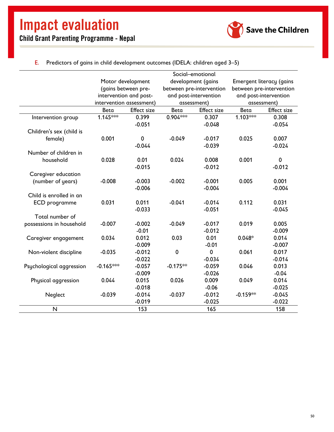![](_page_51_Picture_2.jpeg)

| E. Predictors of gains in child development outcomes (IDELA: children aged $3-5$ ) |  |  |
|------------------------------------------------------------------------------------|--|--|
|                                                                                    |  |  |

<span id="page-51-0"></span>

|                          | Social-emotional                        |                                                 |                                 |                          |                       |                    |
|--------------------------|-----------------------------------------|-------------------------------------------------|---------------------------------|--------------------------|-----------------------|--------------------|
|                          | development (gains<br>Motor development |                                                 | <b>Emergent literacy (gains</b> |                          |                       |                    |
|                          |                                         | (gains between pre-<br>between pre-intervention |                                 | between pre-intervention |                       |                    |
|                          |                                         | intervention and post-                          | and post-intervention           |                          | and post-intervention |                    |
|                          | intervention assessment)                |                                                 | assessment)                     |                          | assessment)           |                    |
|                          | Beta                                    | <b>Effect size</b>                              | Beta                            | <b>Effect size</b>       | Beta                  | <b>Effect</b> size |
| Intervention group       | $1.145***$                              | 0.399                                           | $0.904***$                      | 0.307                    | $1.103***$            | 0.308              |
|                          |                                         | $-0.051$                                        |                                 | $-0.048$                 |                       | $-0.054$           |
| Children's sex (child is |                                         |                                                 |                                 |                          |                       |                    |
| female)                  | 0.001                                   | $\pmb{0}$                                       | $-0.049$                        | $-0.017$                 | 0.025                 | 0.007              |
|                          |                                         | $-0.044$                                        |                                 | $-0.039$                 |                       | $-0.024$           |
| Number of children in    |                                         |                                                 |                                 |                          |                       |                    |
| household                | 0.028                                   | 0.01                                            | 0.024                           | 0.008                    | 0.001                 | $\mathbf 0$        |
|                          |                                         | $-0.015$                                        |                                 | $-0.012$                 |                       | $-0.012$           |
| Caregiver education      |                                         |                                                 |                                 |                          |                       |                    |
| (number of years)        | $-0.008$                                | $-0.003$                                        | $-0.002$                        | $-0.001$                 | 0.005                 | 0.001              |
|                          |                                         | $-0.006$                                        |                                 | $-0.004$                 |                       | $-0.004$           |
| Child is enrolled in an  |                                         |                                                 |                                 |                          |                       |                    |
| ECD programme            | 0.031                                   | 0.011                                           | $-0.041$                        | $-0.014$                 | 0.112                 | 0.031              |
|                          |                                         | $-0.033$                                        |                                 | $-0.051$                 |                       | $-0.045$           |
| Total number of          |                                         |                                                 |                                 |                          |                       |                    |
| possessions in household | $-0.007$                                | $-0.002$                                        | $-0.049$                        | $-0.017$                 | 0.019                 | 0.005              |
|                          |                                         | $-0.01$                                         |                                 | $-0.012$                 |                       | $-0.009$           |
| Caregiver engagement     | 0.034                                   | 0.012                                           | 0.03                            | 0.01                     | $0.048*$              | 0.014              |
|                          |                                         | $-0.009$                                        |                                 | $-0.01$                  |                       | $-0.007$           |
| Non-violent discipline   | $-0.035$                                | $-0.012$                                        | $\pmb{0}$                       | $\mathbf 0$              | 0.061                 | 0.017              |
|                          |                                         | $-0.022$                                        |                                 | $-0.034$                 |                       | $-0.014$           |
| Psychological aggression | $-0.165***$                             | $-0.057$                                        | $-0.175**$                      | $-0.059$                 | 0.046                 | 0.013              |
|                          |                                         | $-0.009$                                        |                                 | $-0.026$                 |                       | $-0.04$            |
| Physical aggression      | 0.044                                   | 0.015                                           | 0.026                           | 0.009                    | 0.049                 | 0.014              |
|                          |                                         | $-0.018$                                        |                                 | $-0.06$                  |                       | $-0.025$           |
| Neglect                  | $-0.039$                                | $-0.014$                                        | $-0.037$                        | $-0.012$                 | $-0.159**$            | $-0.045$           |
|                          |                                         | $-0.019$                                        |                                 | $-0.025$                 |                       | $-0.022$           |
| N                        |                                         | 153                                             |                                 | 165                      |                       | 158                |